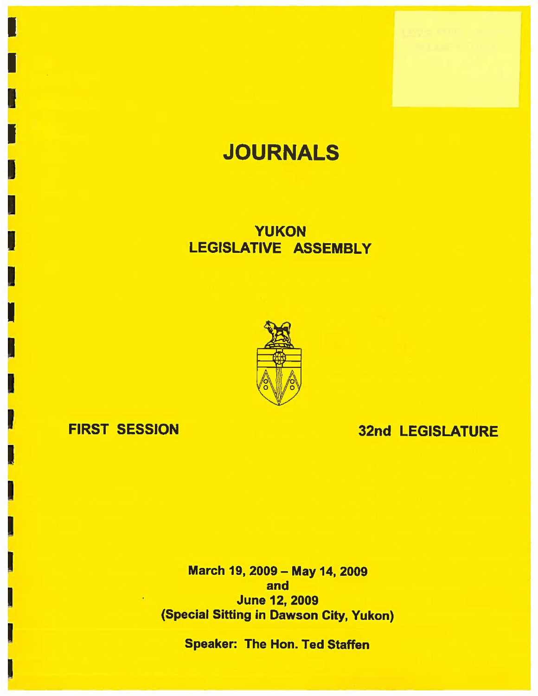# **JOURNALS**

## YUKON LEGISLATIVE ASSEMBLY



### FIRST SESSION

I

I

I

I

I

~ I

I

I

I

## 32nd LEGISLATURE

March 19, 2009 - May 14, 2009 and June 12, 2009 (Special Sitting in Dawson City, Yukon)

Speaker: The Hon. Ted Staffen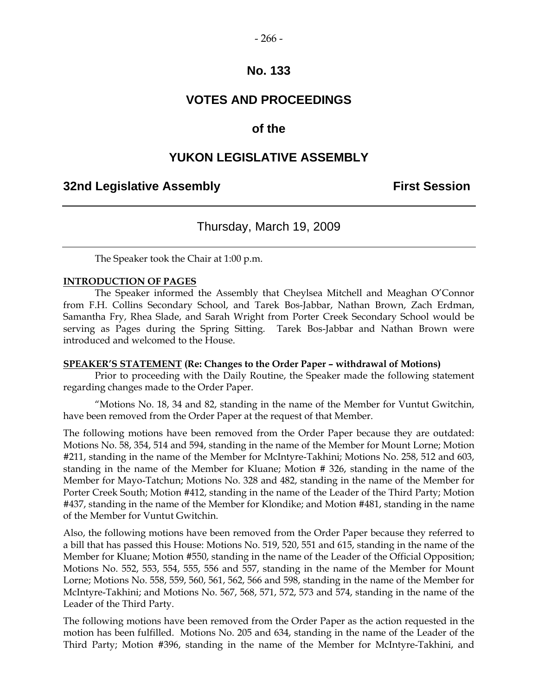#### $-266-$

#### **No. 133**

#### **VOTES AND PROCEEDINGS**

#### **of the**

#### **YUKON LEGISLATIVE ASSEMBLY**

#### **32nd Legislative Assembly First Session**

#### Thursday, March 19, 2009

The Speaker took the Chair at 1:00 p.m.

#### **INTRODUCTION OF PAGES**

 The Speaker informed the Assembly that Cheylsea Mitchell and Meaghan O'Connor from F.H. Collins Secondary School, and Tarek Bos-Jabbar, Nathan Brown, Zach Erdman, Samantha Fry, Rhea Slade, and Sarah Wright from Porter Creek Secondary School would be serving as Pages during the Spring Sitting. Tarek Bos-Jabbar and Nathan Brown were introduced and welcomed to the House.

#### **SPEAKER'S STATEMENT (Re: Changes to the Order Paper – withdrawal of Motions)**

 Prior to proceeding with the Daily Routine, the Speaker made the following statement regarding changes made to the Order Paper.

 "Motions No. 18, 34 and 82, standing in the name of the Member for Vuntut Gwitchin, have been removed from the Order Paper at the request of that Member.

The following motions have been removed from the Order Paper because they are outdated: Motions No. 58, 354, 514 and 594, standing in the name of the Member for Mount Lorne; Motion #211, standing in the name of the Member for McIntyre-Takhini; Motions No. 258, 512 and 603, standing in the name of the Member for Kluane; Motion # 326, standing in the name of the Member for Mayo-Tatchun; Motions No. 328 and 482, standing in the name of the Member for Porter Creek South; Motion #412, standing in the name of the Leader of the Third Party; Motion #437, standing in the name of the Member for Klondike; and Motion #481, standing in the name of the Member for Vuntut Gwitchin.

Also, the following motions have been removed from the Order Paper because they referred to a bill that has passed this House: Motions No. 519, 520, 551 and 615, standing in the name of the Member for Kluane; Motion #550, standing in the name of the Leader of the Official Opposition; Motions No. 552, 553, 554, 555, 556 and 557, standing in the name of the Member for Mount Lorne; Motions No. 558, 559, 560, 561, 562, 566 and 598, standing in the name of the Member for McIntyre-Takhini; and Motions No. 567, 568, 571, 572, 573 and 574, standing in the name of the Leader of the Third Party.

The following motions have been removed from the Order Paper as the action requested in the motion has been fulfilled. Motions No. 205 and 634, standing in the name of the Leader of the Third Party; Motion #396, standing in the name of the Member for McIntyre-Takhini, and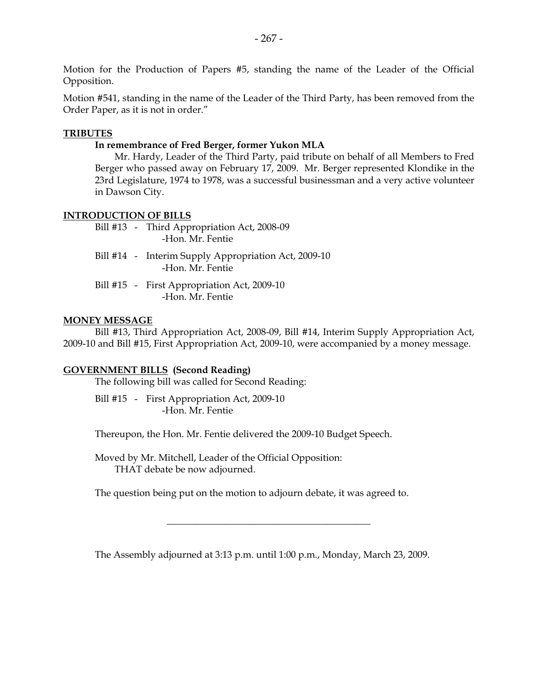Motion for the Production of Papers #5, standing the name of the Leader of the Official Opposition.

Motion #541, standing in the name of the Leader of the Third Party, has been removed from the Order Paper, as it is not in order."

#### **TRIBUTES**

#### **In remembrance of Fred Berger, former Yukon MLA**

 Mr. Hardy, Leader of the Third Party, paid tribute on behalf of all Members to Fred Berger who passed away on February 17, 2009. Mr. Berger represented Klondike in the 23rd Legislature, 1974 to 1978, was a successful businessman and a very active volunteer in Dawson City.

#### **INTRODUCTION OF BILLS**

- Bill #13 Third Appropriation Act, 2008-09 -Hon. Mr. Fentie
- Bill #14 Interim Supply Appropriation Act, 2009-10 -Hon. Mr. Fentie
- Bill #15 First Appropriation Act, 2009-10 -Hon. Mr. Fentie

#### **MONEY MESSAGE**

 Bill #13, Third Appropriation Act, 2008-09, Bill #14, Interim Supply Appropriation Act, 2009-10 and Bill #15, First Appropriation Act, 2009-10, were accompanied by a money message.

#### **GOVERNMENT BILLS (Second Reading)**

The following bill was called for Second Reading:

 Bill #15 - First Appropriation Act, 2009-10 -Hon. Mr. Fentie

Thereupon, the Hon. Mr. Fentie delivered the 2009-10 Budget Speech.

 Moved by Mr. Mitchell, Leader of the Official Opposition: THAT debate be now adjourned.

The question being put on the motion to adjourn debate, it was agreed to.

The Assembly adjourned at 3:13 p.m. until 1:00 p.m., Monday, March 23, 2009.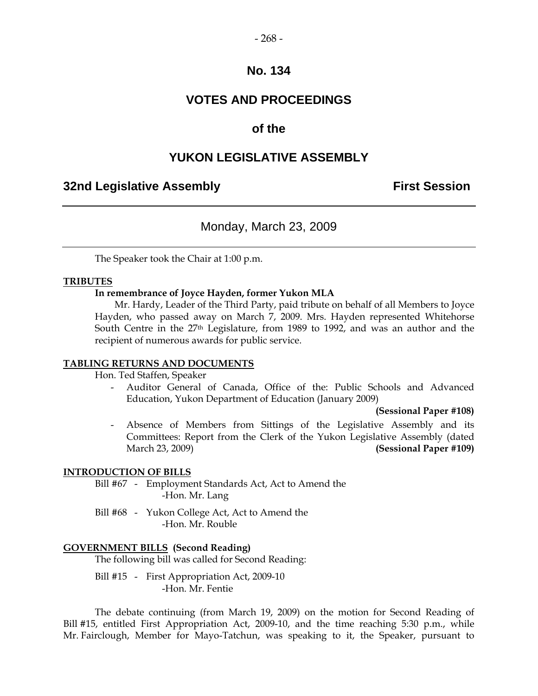### **VOTES AND PROCEEDINGS**

#### **of the**

#### **YUKON LEGISLATIVE ASSEMBLY**

#### **32nd Legislative Assembly First Session**

#### Monday, March 23, 2009

The Speaker took the Chair at 1:00 p.m.

#### **TRIBUTES**

#### **In remembrance of Joyce Hayden, former Yukon MLA**

 Mr. Hardy, Leader of the Third Party, paid tribute on behalf of all Members to Joyce Hayden, who passed away on March 7, 2009. Mrs. Hayden represented Whitehorse South Centre in the 27<sup>th</sup> Legislature, from 1989 to 1992, and was an author and the recipient of numerous awards for public service.

#### **TABLING RETURNS AND DOCUMENTS**

Hon. Ted Staffen, Speaker

 - Auditor General of Canada, Office of the: Public Schools and Advanced Education, Yukon Department of Education (January 2009)

#### **(Sessional Paper #108)**

Absence of Members from Sittings of the Legislative Assembly and its Committees: Report from the Clerk of the Yukon Legislative Assembly (dated March 23, 2009) **(Sessional Paper #109)**

#### **INTRODUCTION OF BILLS**

 Bill #67 - Employment Standards Act, Act to Amend the -Hon. Mr. Lang

 Bill #68 - Yukon College Act, Act to Amend the -Hon. Mr. Rouble

#### **GOVERNMENT BILLS (Second Reading)**

The following bill was called for Second Reading:

 Bill #15 - First Appropriation Act, 2009-10 -Hon. Mr. Fentie

 The debate continuing (from March 19, 2009) on the motion for Second Reading of Bill #15, entitled First Appropriation Act, 2009-10, and the time reaching 5:30 p.m., while Mr. Fairclough, Member for Mayo-Tatchun, was speaking to it, the Speaker, pursuant to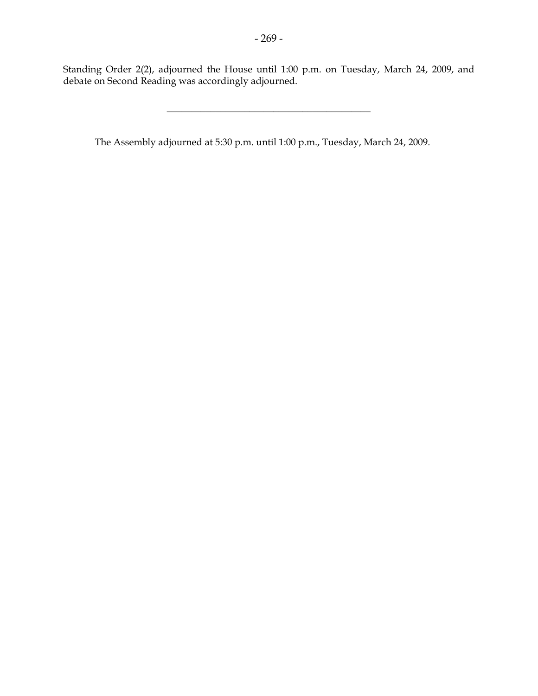Standing Order 2(2), adjourned the House until 1:00 p.m. on Tuesday, March 24, 2009, and debate on Second Reading was accordingly adjourned.

\_\_\_\_\_\_\_\_\_\_\_\_\_\_\_\_\_\_\_\_\_\_\_\_\_\_\_\_\_\_\_\_\_\_\_\_\_\_\_\_\_\_

The Assembly adjourned at 5:30 p.m. until 1:00 p.m., Tuesday, March 24, 2009.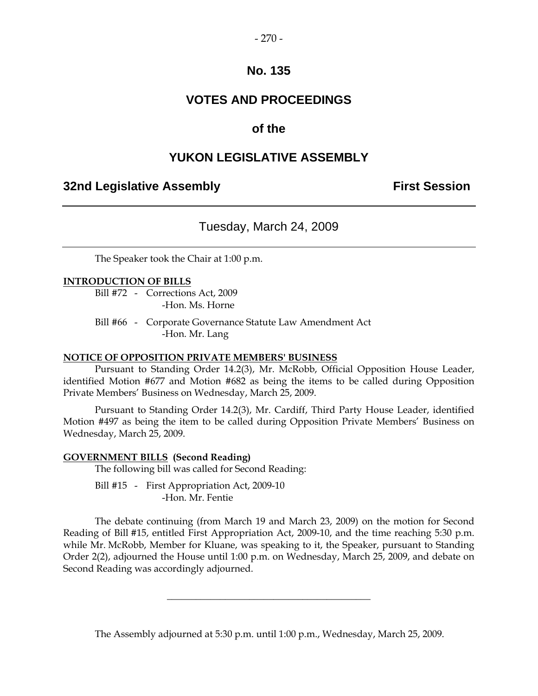### **VOTES AND PROCEEDINGS**

### **of the**

### **YUKON LEGISLATIVE ASSEMBLY**

#### **32nd Legislative Assembly First Session**

### Tuesday, March 24, 2009

The Speaker took the Chair at 1:00 p.m.

#### **INTRODUCTION OF BILLS**

 Bill #72 - Corrections Act, 2009 -Hon. Ms. Horne

 Bill #66 - Corporate Governance Statute Law Amendment Act -Hon. Mr. Lang

#### **NOTICE OF OPPOSITION PRIVATE MEMBERS' BUSINESS**

 Pursuant to Standing Order 14.2(3), Mr. McRobb, Official Opposition House Leader, identified Motion #677 and Motion #682 as being the items to be called during Opposition Private Members' Business on Wednesday, March 25, 2009.

 Pursuant to Standing Order 14.2(3), Mr. Cardiff, Third Party House Leader, identified Motion #497 as being the item to be called during Opposition Private Members' Business on Wednesday, March 25, 2009.

#### **GOVERNMENT BILLS (Second Reading)**

The following bill was called for Second Reading:

Bill #15 - First Appropriation Act, 2009-10 -Hon. Mr. Fentie

 The debate continuing (from March 19 and March 23, 2009) on the motion for Second Reading of Bill #15, entitled First Appropriation Act, 2009-10, and the time reaching 5:30 p.m. while Mr. McRobb, Member for Kluane, was speaking to it, the Speaker, pursuant to Standing Order 2(2), adjourned the House until 1:00 p.m. on Wednesday, March 25, 2009, and debate on Second Reading was accordingly adjourned.

The Assembly adjourned at 5:30 p.m. until 1:00 p.m., Wednesday, March 25, 2009.

 $\overline{\phantom{a}}$  , and the set of the set of the set of the set of the set of the set of the set of the set of the set of the set of the set of the set of the set of the set of the set of the set of the set of the set of the s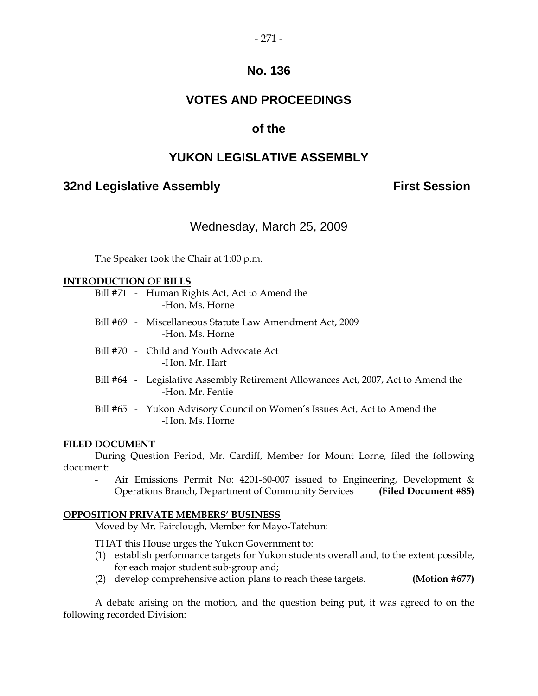### **VOTES AND PROCEEDINGS**

### **of the**

### **YUKON LEGISLATIVE ASSEMBLY**

#### **32nd Legislative Assembly The Contract Session**

### Wednesday, March 25, 2009

The Speaker took the Chair at 1:00 p.m.

#### **INTRODUCTION OF BILLS**

|  | Bill #71 - Human Rights Act, Act to Amend the<br>-Hon, Ms. Horne                                      |
|--|-------------------------------------------------------------------------------------------------------|
|  | Bill #69 - Miscellaneous Statute Law Amendment Act, 2009<br>-Hon, Ms. Horne                           |
|  | Bill #70 - Child and Youth Advocate Act<br>-Hon, Mr. Hart                                             |
|  | Bill #64 - Legislative Assembly Retirement Allowances Act, 2007, Act to Amend the<br>-Hon, Mr. Fentie |
|  | Bill #65 - Yukon Advisory Council on Women's Issues Act, Act to Amend the<br>-Hon, Ms. Horne          |

#### **FILED DOCUMENT**

 During Question Period, Mr. Cardiff, Member for Mount Lorne, filed the following document:

Air Emissions Permit No: 4201-60-007 issued to Engineering, Development & Operations Branch, Department of Community Services **(Filed Document #85)** 

#### **OPPOSITION PRIVATE MEMBERS' BUSINESS**

Moved by Mr. Fairclough, Member for Mayo-Tatchun:

THAT this House urges the Yukon Government to:

- (1) establish performance targets for Yukon students overall and, to the extent possible, for each major student sub-group and;
- (2) develop comprehensive action plans to reach these targets. **(Motion #677)**

 A debate arising on the motion, and the question being put, it was agreed to on the following recorded Division: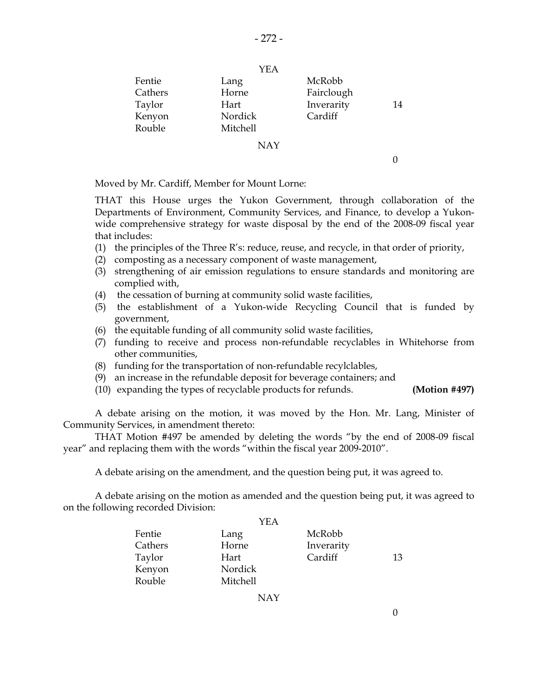|         | YEA        |            |    |
|---------|------------|------------|----|
| Fentie  | Lang       | McRobb     |    |
| Cathers | Horne      | Fairclough |    |
| Taylor  | Hart       | Inverarity | 14 |
| Kenyon  | Nordick    | Cardiff    |    |
| Rouble  | Mitchell   |            |    |
|         | <b>NAY</b> |            |    |

0

Moved by Mr. Cardiff, Member for Mount Lorne:

 THAT this House urges the Yukon Government, through collaboration of the Departments of Environment, Community Services, and Finance, to develop a Yukonwide comprehensive strategy for waste disposal by the end of the 2008-09 fiscal year that includes:

- (1) the principles of the Three R's: reduce, reuse, and recycle, in that order of priority,
- (2) composting as a necessary component of waste management,
- (3) strengthening of air emission regulations to ensure standards and monitoring are complied with,
- (4) the cessation of burning at community solid waste facilities,
- (5) the establishment of a Yukon-wide Recycling Council that is funded by government,
- (6) the equitable funding of all community solid waste facilities,
- (7) funding to receive and process non-refundable recyclables in Whitehorse from other communities,
- (8) funding for the transportation of non-refundable recylclables,
- (9) an increase in the refundable deposit for beverage containers; and
- (10) expanding the types of recyclable products for refunds. **(Motion #497)**

 A debate arising on the motion, it was moved by the Hon. Mr. Lang, Minister of Community Services, in amendment thereto:

 THAT Motion #497 be amended by deleting the words "by the end of 2008-09 fiscal year" and replacing them with the words "within the fiscal year 2009-2010".

A debate arising on the amendment, and the question being put, it was agreed to.

 A debate arising on the motion as amended and the question being put, it was agreed to on the following recorded Division:

|         | YEA      |            |    |
|---------|----------|------------|----|
| Fentie  | Lang     | McRobb     |    |
| Cathers | Horne    | Inverarity |    |
| Taylor  | Hart     | Cardiff    | 13 |
| Kenyon  | Nordick  |            |    |
| Rouble  | Mitchell |            |    |

NAY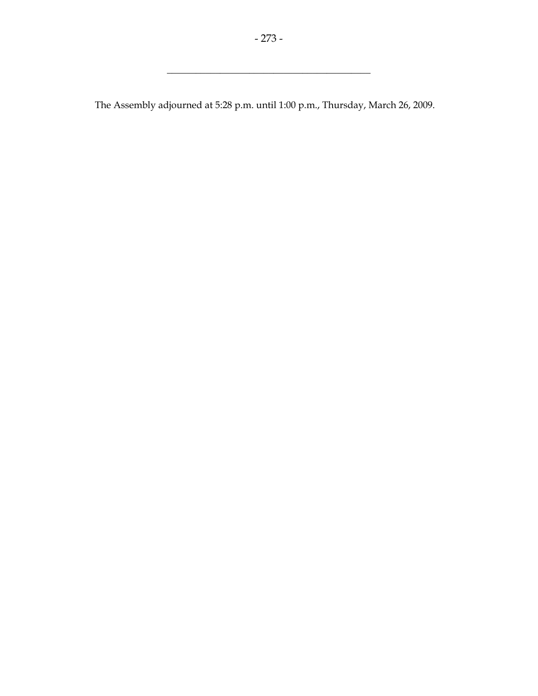\_\_\_\_\_\_\_\_\_\_\_\_\_\_\_\_\_\_\_\_\_\_\_\_\_\_\_\_\_\_\_\_\_\_\_\_\_\_\_\_\_\_

The Assembly adjourned at 5:28 p.m. until 1:00 p.m., Thursday, March 26, 2009.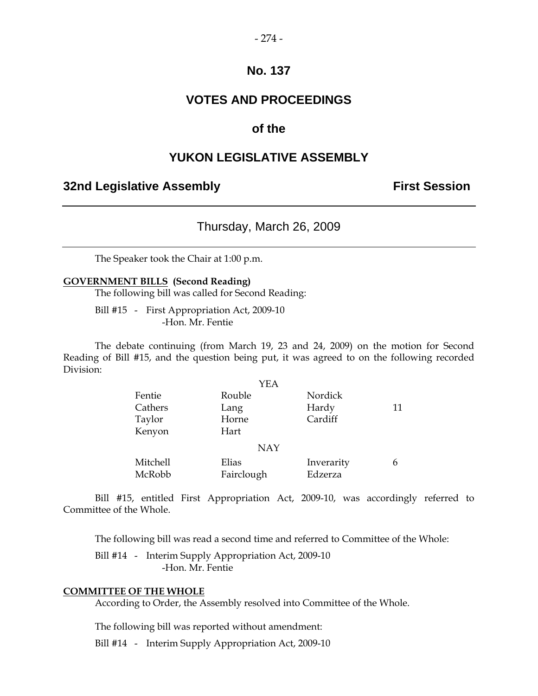### **VOTES AND PROCEEDINGS**

#### **of the**

#### **YUKON LEGISLATIVE ASSEMBLY**

#### **32nd Legislative Assembly First Session**

#### Thursday, March 26, 2009

The Speaker took the Chair at 1:00 p.m.

#### **GOVERNMENT BILLS (Second Reading)**

The following bill was called for Second Reading:

 Bill #15 - First Appropriation Act, 2009-10 -Hon. Mr. Fentie

 The debate continuing (from March 19, 23 and 24, 2009) on the motion for Second Reading of Bill #15, and the question being put, it was agreed to on the following recorded Division:

|            | YEA        |            |    |
|------------|------------|------------|----|
| Fentie     | Rouble     | Nordick    |    |
| Cathers    | Lang       | Hardy      | 11 |
| Taylor     | Horne      | Cardiff    |    |
| Kenyon     | Hart       |            |    |
| <b>NAY</b> |            |            |    |
| Mitchell   | Elias      | Inverarity | 6  |
| McRobb     | Fairclough | Edzerza    |    |

 Bill #15, entitled First Appropriation Act, 2009-10, was accordingly referred to Committee of the Whole.

The following bill was read a second time and referred to Committee of the Whole:

Bill #14 - Interim Supply Appropriation Act, 2009-10 -Hon. Mr. Fentie

#### **COMMITTEE OF THE WHOLE**

According to Order, the Assembly resolved into Committee of the Whole.

The following bill was reported without amendment:

Bill #14 - Interim Supply Appropriation Act, 2009-10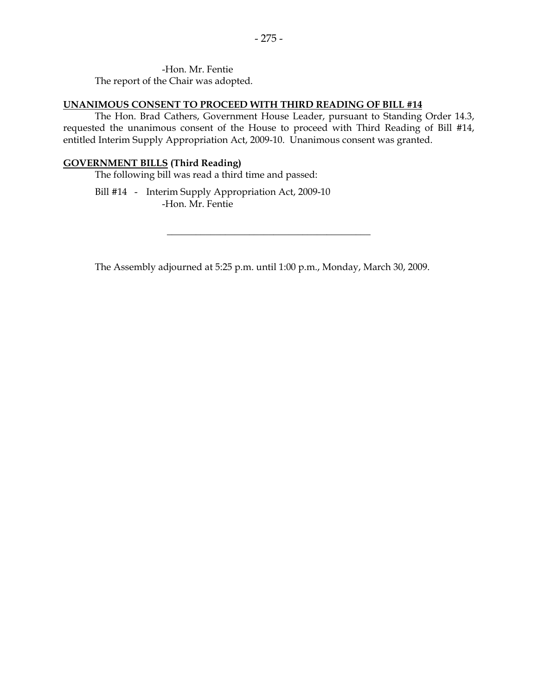#### **UNANIMOUS CONSENT TO PROCEED WITH THIRD READING OF BILL #14**

 The Hon. Brad Cathers, Government House Leader, pursuant to Standing Order 14.3, requested the unanimous consent of the House to proceed with Third Reading of Bill #14, entitled Interim Supply Appropriation Act, 2009-10. Unanimous consent was granted.

#### **GOVERNMENT BILLS (Third Reading)**

The following bill was read a third time and passed:

 Bill #14 - Interim Supply Appropriation Act, 2009-10 -Hon. Mr. Fentie

The Assembly adjourned at 5:25 p.m. until 1:00 p.m., Monday, March 30, 2009.

 $\overline{\phantom{a}}$  , and the set of the set of the set of the set of the set of the set of the set of the set of the set of the set of the set of the set of the set of the set of the set of the set of the set of the set of the s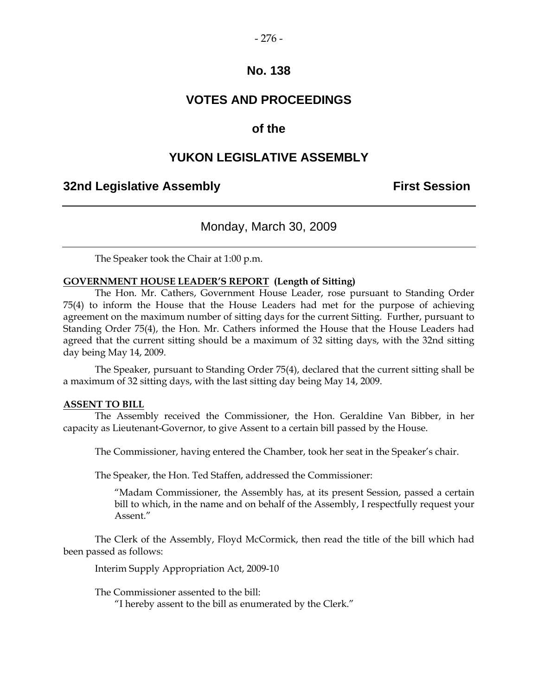### **VOTES AND PROCEEDINGS**

### **of the**

### **YUKON LEGISLATIVE ASSEMBLY**

#### **32nd Legislative Assembly The Contract Session**

#### Monday, March 30, 2009

The Speaker took the Chair at 1:00 p.m.

#### **GOVERNMENT HOUSE LEADER'S REPORT (Length of Sitting)**

 The Hon. Mr. Cathers, Government House Leader, rose pursuant to Standing Order 75(4) to inform the House that the House Leaders had met for the purpose of achieving agreement on the maximum number of sitting days for the current Sitting. Further, pursuant to Standing Order 75(4), the Hon. Mr. Cathers informed the House that the House Leaders had agreed that the current sitting should be a maximum of 32 sitting days, with the 32nd sitting day being May 14, 2009.

 The Speaker, pursuant to Standing Order 75(4), declared that the current sitting shall be a maximum of 32 sitting days, with the last sitting day being May 14, 2009.

#### **ASSENT TO BILL**

 The Assembly received the Commissioner, the Hon. Geraldine Van Bibber, in her capacity as Lieutenant-Governor, to give Assent to a certain bill passed by the House.

The Commissioner, having entered the Chamber, took her seat in the Speaker's chair.

The Speaker, the Hon. Ted Staffen, addressed the Commissioner:

"Madam Commissioner, the Assembly has, at its present Session, passed a certain bill to which, in the name and on behalf of the Assembly, I respectfully request your Assent."

 The Clerk of the Assembly, Floyd McCormick, then read the title of the bill which had been passed as follows:

Interim Supply Appropriation Act, 2009-10

The Commissioner assented to the bill:

"I hereby assent to the bill as enumerated by the Clerk."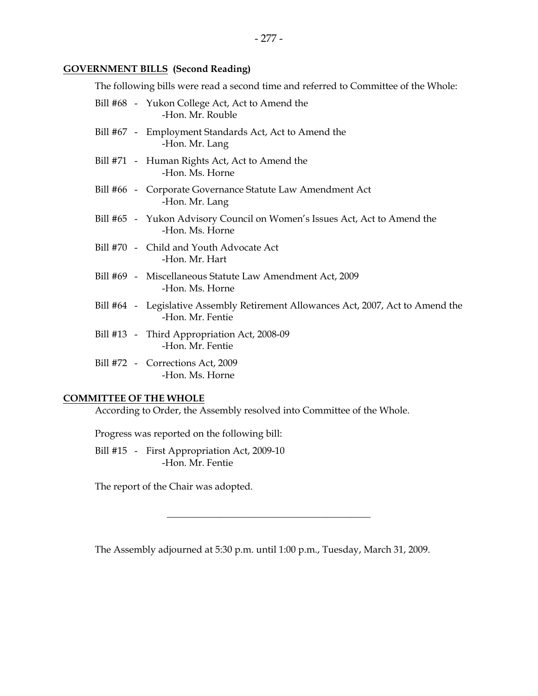#### **GOVERNMENT BILLS (Second Reading)**

The following bills were read a second time and referred to Committee of the Whole:

|  | Bill #68 - Yukon College Act, Act to Amend the<br>-Hon. Mr. Rouble                                    |
|--|-------------------------------------------------------------------------------------------------------|
|  | Bill #67 - Employment Standards Act, Act to Amend the<br>-Hon. Mr. Lang                               |
|  | Bill #71 - Human Rights Act, Act to Amend the<br>-Hon, Ms. Horne                                      |
|  | Bill #66 - Corporate Governance Statute Law Amendment Act<br>-Hon. Mr. Lang                           |
|  | Bill #65 - Yukon Advisory Council on Women's Issues Act, Act to Amend the<br>-Hon. Ms. Horne          |
|  | Bill #70 - Child and Youth Advocate Act<br>-Hon. Mr. Hart                                             |
|  | Bill #69 - Miscellaneous Statute Law Amendment Act, 2009<br>-Hon, Ms. Horne                           |
|  | Bill #64 - Legislative Assembly Retirement Allowances Act, 2007, Act to Amend the<br>-Hon, Mr. Fentie |
|  | Bill #13 - Third Appropriation Act, 2008-09<br>-Hon. Mr. Fentie                                       |
|  | Bill #72 - Corrections Act, 2009<br>-Hon. Ms. Horne                                                   |
|  |                                                                                                       |

#### **COMMITTEE OF THE WHOLE**

According to Order, the Assembly resolved into Committee of the Whole.

Progress was reported on the following bill:

 Bill #15 - First Appropriation Act, 2009-10 -Hon. Mr. Fentie

The report of the Chair was adopted.

The Assembly adjourned at 5:30 p.m. until 1:00 p.m., Tuesday, March 31, 2009.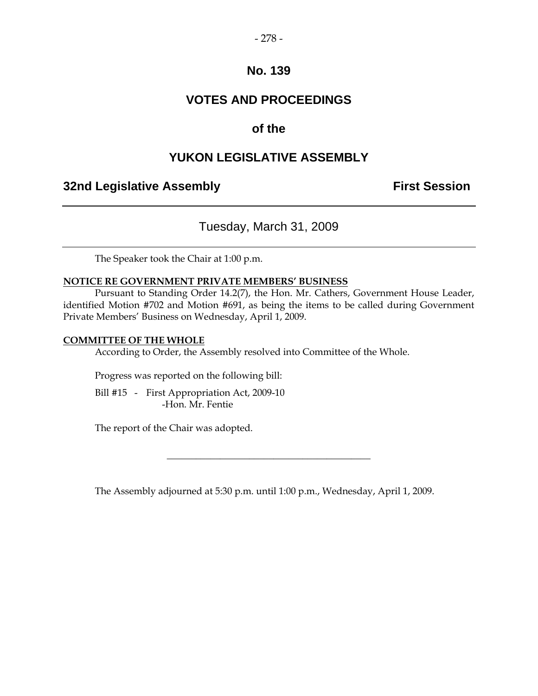### **VOTES AND PROCEEDINGS**

### **of the**

### **YUKON LEGISLATIVE ASSEMBLY**

#### **32nd Legislative Assembly The Contract Session**

### Tuesday, March 31, 2009

The Speaker took the Chair at 1:00 p.m.

#### **NOTICE RE GOVERNMENT PRIVATE MEMBERS' BUSINESS**

 Pursuant to Standing Order 14.2(7), the Hon. Mr. Cathers, Government House Leader, identified Motion #702 and Motion #691, as being the items to be called during Government Private Members' Business on Wednesday, April 1, 2009.

#### **COMMITTEE OF THE WHOLE**

According to Order, the Assembly resolved into Committee of the Whole.

Progress was reported on the following bill:

Bill #15 - First Appropriation Act, 2009-10 -Hon. Mr. Fentie

The report of the Chair was adopted.

The Assembly adjourned at 5:30 p.m. until 1:00 p.m., Wednesday, April 1, 2009.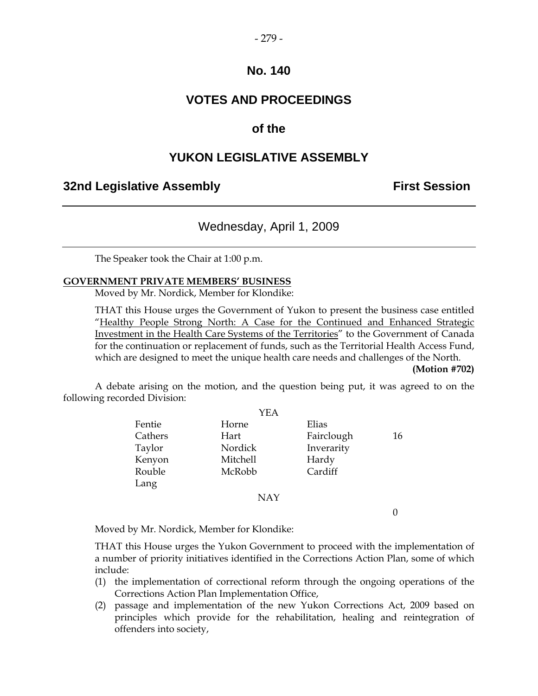### **VOTES AND PROCEEDINGS**

#### **of the**

#### **YUKON LEGISLATIVE ASSEMBLY**

#### **32nd Legislative Assembly First Session**

#### Wednesday, April 1, 2009

The Speaker took the Chair at 1:00 p.m.

#### **GOVERNMENT PRIVATE MEMBERS' BUSINESS**

Moved by Mr. Nordick, Member for Klondike:

 THAT this House urges the Government of Yukon to present the business case entitled "Healthy People Strong North: A Case for the Continued and Enhanced Strategic Investment in the Health Care Systems of the Territories" to the Government of Canada for the continuation or replacement of funds, such as the Territorial Health Access Fund, which are designed to meet the unique health care needs and challenges of the North.

#### **(Motion #702)**

 A debate arising on the motion, and the question being put, it was agreed to on the following recorded Division:

|         | YEA        |            |    |
|---------|------------|------------|----|
| Fentie  | Horne      | Elias      |    |
| Cathers | Hart       | Fairclough | 16 |
| Taylor  | Nordick    | Inverarity |    |
| Kenyon  | Mitchell   | Hardy      |    |
| Rouble  | McRobb     | Cardiff    |    |
| Lang    |            |            |    |
|         | <b>NAY</b> |            |    |
|         |            |            |    |

Moved by Mr. Nordick, Member for Klondike:

 THAT this House urges the Yukon Government to proceed with the implementation of a number of priority initiatives identified in the Corrections Action Plan, some of which include:

- (1) the implementation of correctional reform through the ongoing operations of the Corrections Action Plan Implementation Office,
- (2) passage and implementation of the new Yukon Corrections Act, 2009 based on principles which provide for the rehabilitation, healing and reintegration of offenders into society,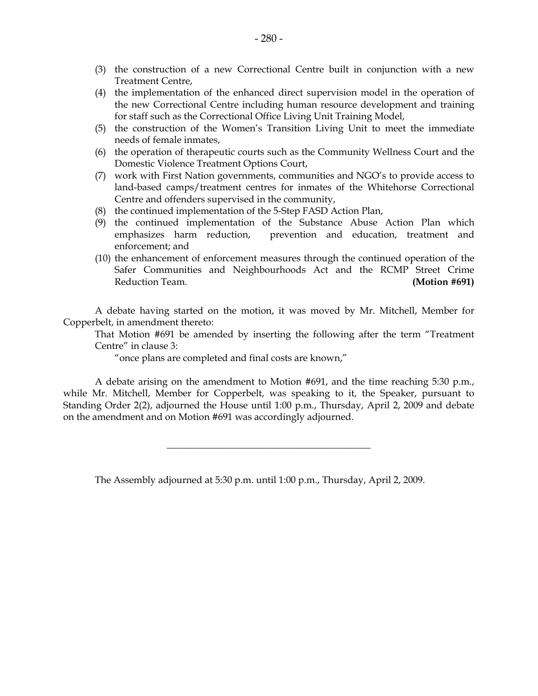- (4) the implementation of the enhanced direct supervision model in the operation of the new Correctional Centre including human resource development and training for staff such as the Correctional Office Living Unit Training Model,
- (5) the construction of the Women's Transition Living Unit to meet the immediate needs of female inmates,
- (6) the operation of therapeutic courts such as the Community Wellness Court and the Domestic Violence Treatment Options Court,
- (7) work with First Nation governments, communities and NGO's to provide access to land-based camps/treatment centres for inmates of the Whitehorse Correctional Centre and offenders supervised in the community,
- (8) the continued implementation of the 5-Step FASD Action Plan,
- (9) the continued implementation of the Substance Abuse Action Plan which emphasizes harm reduction, prevention and education, treatment and enforcement; and
- (10) the enhancement of enforcement measures through the continued operation of the Safer Communities and Neighbourhoods Act and the RCMP Street Crime Reduction Team. **(Motion #691)**

 A debate having started on the motion, it was moved by Mr. Mitchell, Member for Copperbelt, in amendment thereto:

 That Motion #691 be amended by inserting the following after the term "Treatment Centre" in clause 3:

"once plans are completed and final costs are known,"

 A debate arising on the amendment to Motion #691, and the time reaching 5:30 p.m., while Mr. Mitchell, Member for Copperbelt, was speaking to it, the Speaker, pursuant to Standing Order 2(2), adjourned the House until 1:00 p.m., Thursday, April 2, 2009 and debate on the amendment and on Motion #691 was accordingly adjourned.

\_\_\_\_\_\_\_\_\_\_\_\_\_\_\_\_\_\_\_\_\_\_\_\_\_\_\_\_\_\_\_\_\_\_\_\_\_\_\_\_\_\_

The Assembly adjourned at 5:30 p.m. until 1:00 p.m., Thursday, April 2, 2009.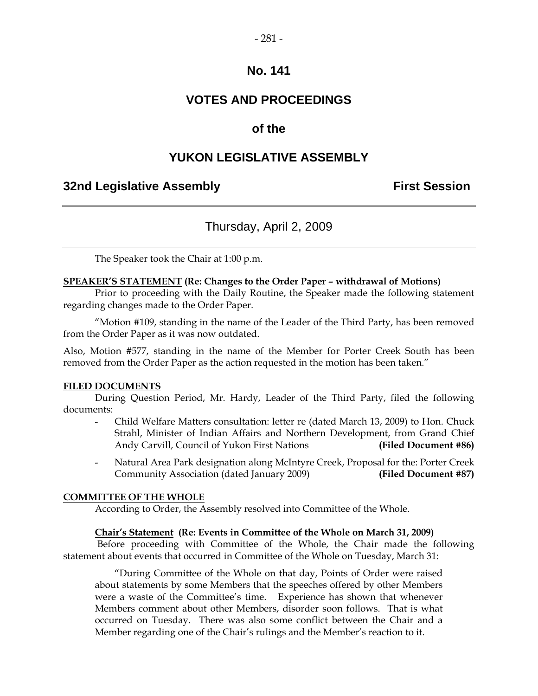### **VOTES AND PROCEEDINGS**

### **of the**

### **YUKON LEGISLATIVE ASSEMBLY**

#### **32nd Legislative Assembly The Contract Session**

### Thursday, April 2, 2009

The Speaker took the Chair at 1:00 p.m.

#### **SPEAKER'S STATEMENT (Re: Changes to the Order Paper – withdrawal of Motions)**

 Prior to proceeding with the Daily Routine, the Speaker made the following statement regarding changes made to the Order Paper.

"Motion #109, standing in the name of the Leader of the Third Party, has been removed from the Order Paper as it was now outdated.

Also, Motion #577, standing in the name of the Member for Porter Creek South has been removed from the Order Paper as the action requested in the motion has been taken."

#### **FILED DOCUMENTS**

 During Question Period, Mr. Hardy, Leader of the Third Party, filed the following documents:

- Child Welfare Matters consultation: letter re (dated March 13, 2009) to Hon. Chuck Strahl, Minister of Indian Affairs and Northern Development, from Grand Chief Andy Carvill, Council of Yukon First Nations **(Filed Document #86)**
- Natural Area Park designation along McIntyre Creek, Proposal for the: Porter Creek Community Association (dated January 2009) **(Filed Document #87)**

#### **COMMITTEE OF THE WHOLE**

According to Order, the Assembly resolved into Committee of the Whole.

#### **Chair's Statement (Re: Events in Committee of the Whole on March 31, 2009)**

 Before proceeding with Committee of the Whole, the Chair made the following statement about events that occurred in Committee of the Whole on Tuesday, March 31:

 "During Committee of the Whole on that day, Points of Order were raised about statements by some Members that the speeches offered by other Members were a waste of the Committee's time. Experience has shown that whenever Members comment about other Members, disorder soon follows. That is what occurred on Tuesday. There was also some conflict between the Chair and a Member regarding one of the Chair's rulings and the Member's reaction to it.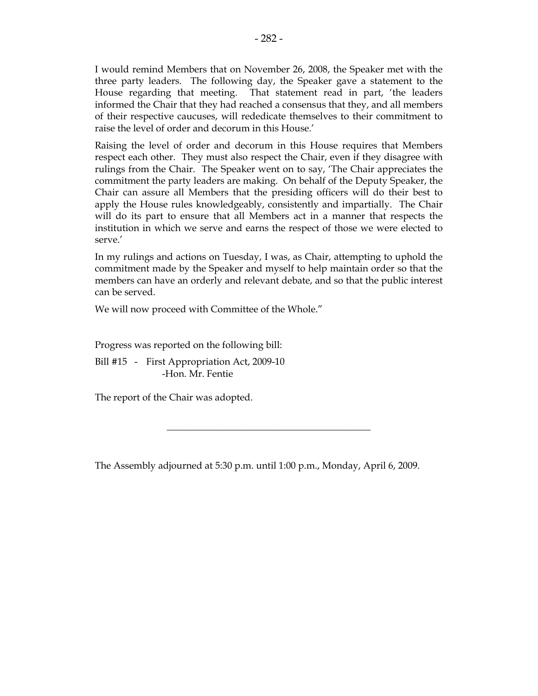$-282-$ 

 I would remind Members that on November 26, 2008, the Speaker met with the three party leaders. The following day, the Speaker gave a statement to the House regarding that meeting. That statement read in part, 'the leaders informed the Chair that they had reached a consensus that they, and all members of their respective caucuses, will rededicate themselves to their commitment to raise the level of order and decorum in this House.'

 Raising the level of order and decorum in this House requires that Members respect each other. They must also respect the Chair, even if they disagree with rulings from the Chair. The Speaker went on to say, 'The Chair appreciates the commitment the party leaders are making. On behalf of the Deputy Speaker, the Chair can assure all Members that the presiding officers will do their best to apply the House rules knowledgeably, consistently and impartially. The Chair will do its part to ensure that all Members act in a manner that respects the institution in which we serve and earns the respect of those we were elected to serve.'

 In my rulings and actions on Tuesday, I was, as Chair, attempting to uphold the commitment made by the Speaker and myself to help maintain order so that the members can have an orderly and relevant debate, and so that the public interest can be served.

We will now proceed with Committee of the Whole."

Progress was reported on the following bill:

 Bill #15 - First Appropriation Act, 2009-10 -Hon. Mr. Fentie

The report of the Chair was adopted.

The Assembly adjourned at 5:30 p.m. until 1:00 p.m., Monday, April 6, 2009.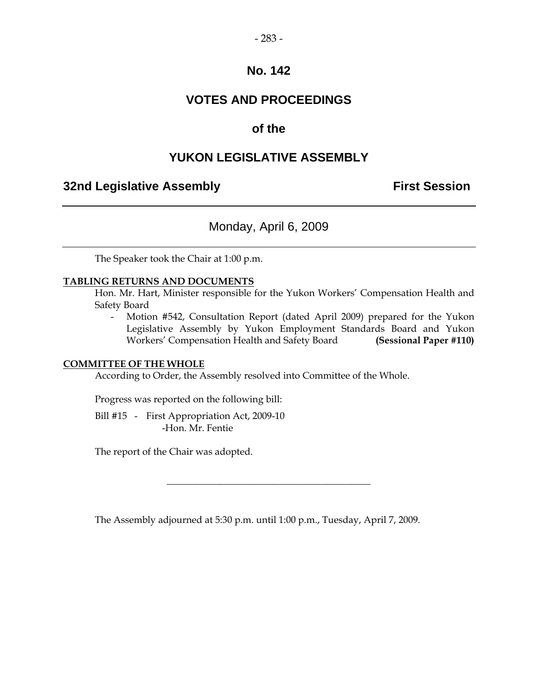### **VOTES AND PROCEEDINGS**

### **of the**

### **YUKON LEGISLATIVE ASSEMBLY**

### **32nd Legislative Assembly First Session**

### Monday, April 6, 2009

The Speaker took the Chair at 1:00 p.m.

#### **TABLING RETURNS AND DOCUMENTS**

 Hon. Mr. Hart, Minister responsible for the Yukon Workers' Compensation Health and Safety Board

 - Motion #542, Consultation Report (dated April 2009) prepared for the Yukon Legislative Assembly by Yukon Employment Standards Board and Yukon Workers' Compensation Health and Safety Board **(Sessional Paper #110)** 

#### **COMMITTEE OF THE WHOLE**

According to Order, the Assembly resolved into Committee of the Whole.

Progress was reported on the following bill:

 Bill #15 - First Appropriation Act, 2009-10 -Hon. Mr. Fentie

The report of the Chair was adopted.

The Assembly adjourned at 5:30 p.m. until 1:00 p.m., Tuesday, April 7, 2009.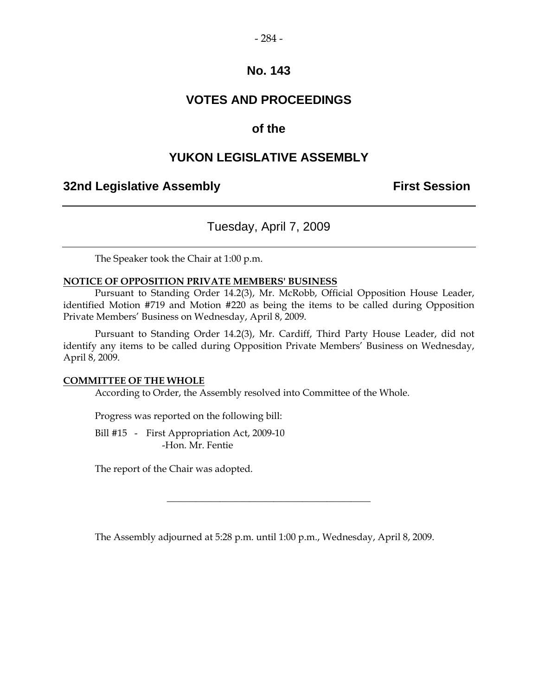#### $-284-$

#### **No. 143**

### **VOTES AND PROCEEDINGS**

#### **of the**

#### **YUKON LEGISLATIVE ASSEMBLY**

#### **32nd Legislative Assembly The Contract Session**

### Tuesday, April 7, 2009

The Speaker took the Chair at 1:00 p.m.

#### **NOTICE OF OPPOSITION PRIVATE MEMBERS' BUSINESS**

 Pursuant to Standing Order 14.2(3), Mr. McRobb, Official Opposition House Leader, identified Motion #719 and Motion #220 as being the items to be called during Opposition Private Members' Business on Wednesday, April 8, 2009.

 Pursuant to Standing Order 14.2(3), Mr. Cardiff, Third Party House Leader, did not identify any items to be called during Opposition Private Members' Business on Wednesday, April 8, 2009.

#### **COMMITTEE OF THE WHOLE**

According to Order, the Assembly resolved into Committee of the Whole.

Progress was reported on the following bill:

Bill #15 - First Appropriation Act, 2009-10 -Hon. Mr. Fentie

The report of the Chair was adopted.

The Assembly adjourned at 5:28 p.m. until 1:00 p.m., Wednesday, April 8, 2009.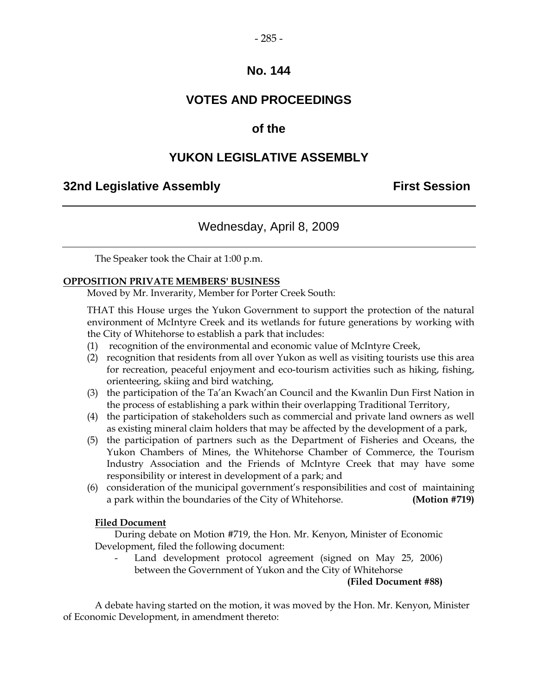### **VOTES AND PROCEEDINGS**

### **of the**

### **YUKON LEGISLATIVE ASSEMBLY**

#### **32nd Legislative Assembly First Session**

### Wednesday, April 8, 2009

The Speaker took the Chair at 1:00 p.m.

#### **OPPOSITION PRIVATE MEMBERS' BUSINESS**

Moved by Mr. Inverarity, Member for Porter Creek South:

 THAT this House urges the Yukon Government to support the protection of the natural environment of McIntyre Creek and its wetlands for future generations by working with the City of Whitehorse to establish a park that includes:

- (1) recognition of the environmental and economic value of McIntyre Creek,
- (2) recognition that residents from all over Yukon as well as visiting tourists use this area for recreation, peaceful enjoyment and eco-tourism activities such as hiking, fishing, orienteering, skiing and bird watching,
- (3) the participation of the Ta'an Kwach'an Council and the Kwanlin Dun First Nation in the process of establishing a park within their overlapping Traditional Territory,
- (4) the participation of stakeholders such as commercial and private land owners as well as existing mineral claim holders that may be affected by the development of a park,
- (5) the participation of partners such as the Department of Fisheries and Oceans, the Yukon Chambers of Mines, the Whitehorse Chamber of Commerce, the Tourism Industry Association and the Friends of McIntyre Creek that may have some responsibility or interest in development of a park; and
- (6) consideration of the municipal government's responsibilities and cost of maintaining a park within the boundaries of the City of Whitehorse. **(Motion #719)**

#### **Filed Document**

 During debate on Motion #719, the Hon. Mr. Kenyon, Minister of Economic Development, filed the following document:

Land development protocol agreement (signed on May 25, 2006) between the Government of Yukon and the City of Whitehorse

**(Filed Document #88)** 

 A debate having started on the motion, it was moved by the Hon. Mr. Kenyon, Minister of Economic Development, in amendment thereto: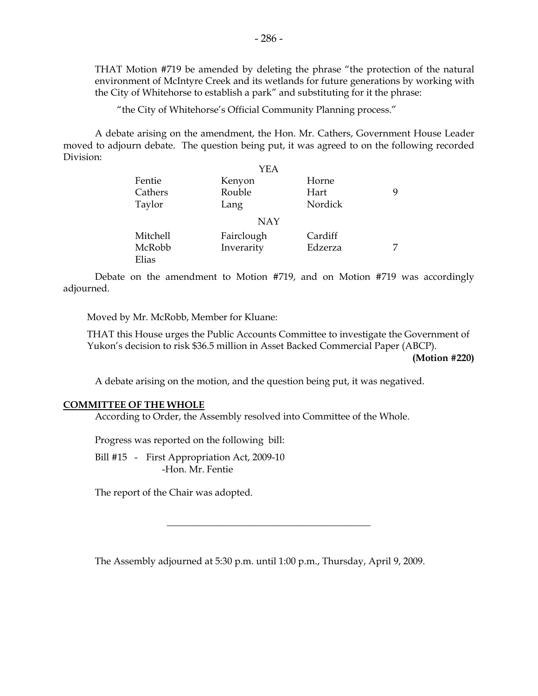THAT Motion #719 be amended by deleting the phrase "the protection of the natural environment of McIntyre Creek and its wetlands for future generations by working with the City of Whitehorse to establish a park" and substituting for it the phrase:

"the City of Whitehorse's Official Community Planning process."

 A debate arising on the amendment, the Hon. Mr. Cathers, Government House Leader moved to adjourn debate. The question being put, it was agreed to on the following recorded Division:

|          | YEA        |         |   |
|----------|------------|---------|---|
| Fentie   | Kenyon     | Horne   |   |
| Cathers  | Rouble     | Hart    | 9 |
| Taylor   | Lang       | Nordick |   |
|          | <b>NAY</b> |         |   |
| Mitchell | Fairclough | Cardiff |   |
| McRobb   | Inverarity | Edzerza | 7 |
| Elias    |            |         |   |

 Debate on the amendment to Motion #719, and on Motion #719 was accordingly adjourned.

Moved by Mr. McRobb, Member for Kluane:

 THAT this House urges the Public Accounts Committee to investigate the Government of Yukon's decision to risk \$36.5 million in Asset Backed Commercial Paper (ABCP).

**(Motion #220)** 

A debate arising on the motion, and the question being put, it was negatived.

#### **COMMITTEE OF THE WHOLE**

According to Order, the Assembly resolved into Committee of the Whole.

Progress was reported on the following bill:

Bill #15 - First Appropriation Act, 2009-10 -Hon. Mr. Fentie

The report of the Chair was adopted.

The Assembly adjourned at 5:30 p.m. until 1:00 p.m., Thursday, April 9, 2009.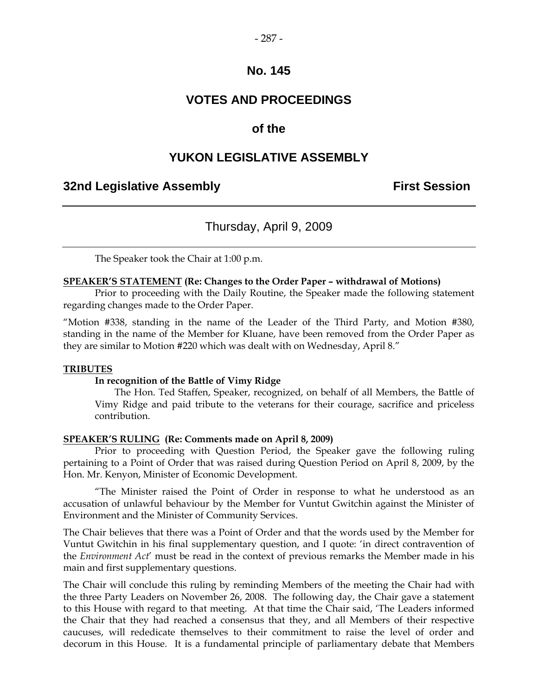### **VOTES AND PROCEEDINGS**

#### **of the**

#### **YUKON LEGISLATIVE ASSEMBLY**

#### **32nd Legislative Assembly First Session**

#### Thursday, April 9, 2009

The Speaker took the Chair at 1:00 p.m.

#### **SPEAKER'S STATEMENT (Re: Changes to the Order Paper – withdrawal of Motions)**

 Prior to proceeding with the Daily Routine, the Speaker made the following statement regarding changes made to the Order Paper.

"Motion #338, standing in the name of the Leader of the Third Party, and Motion #380, standing in the name of the Member for Kluane, have been removed from the Order Paper as they are similar to Motion #220 which was dealt with on Wednesday, April 8."

#### **TRIBUTES**

#### **In recognition of the Battle of Vimy Ridge**

 The Hon. Ted Staffen, Speaker, recognized, on behalf of all Members, the Battle of Vimy Ridge and paid tribute to the veterans for their courage, sacrifice and priceless contribution.

#### **SPEAKER'S RULING (Re: Comments made on April 8, 2009)**

 Prior to proceeding with Question Period, the Speaker gave the following ruling pertaining to a Point of Order that was raised during Question Period on April 8, 2009, by the Hon. Mr. Kenyon, Minister of Economic Development.

"The Minister raised the Point of Order in response to what he understood as an accusation of unlawful behaviour by the Member for Vuntut Gwitchin against the Minister of Environment and the Minister of Community Services.

The Chair believes that there was a Point of Order and that the words used by the Member for Vuntut Gwitchin in his final supplementary question, and I quote: 'in direct contravention of the *Environment Act*' must be read in the context of previous remarks the Member made in his main and first supplementary questions.

The Chair will conclude this ruling by reminding Members of the meeting the Chair had with the three Party Leaders on November 26, 2008. The following day, the Chair gave a statement to this House with regard to that meeting. At that time the Chair said, 'The Leaders informed the Chair that they had reached a consensus that they, and all Members of their respective caucuses, will rededicate themselves to their commitment to raise the level of order and decorum in this House. It is a fundamental principle of parliamentary debate that Members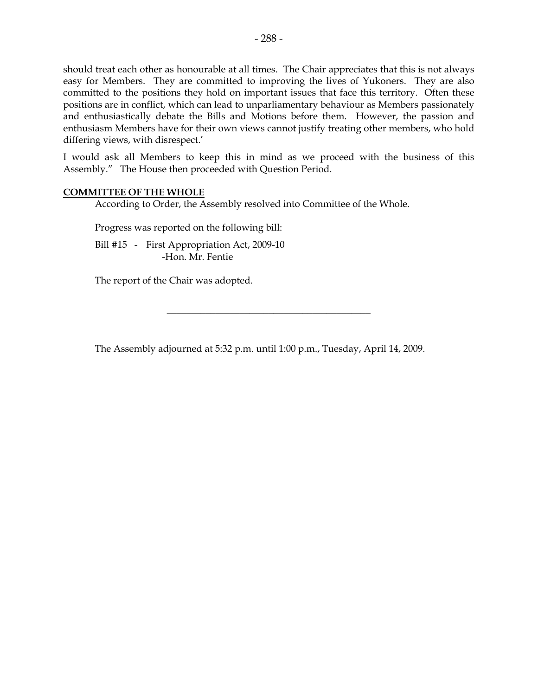should treat each other as honourable at all times. The Chair appreciates that this is not always easy for Members. They are committed to improving the lives of Yukoners. They are also committed to the positions they hold on important issues that face this territory. Often these positions are in conflict, which can lead to unparliamentary behaviour as Members passionately and enthusiastically debate the Bills and Motions before them. However, the passion and enthusiasm Members have for their own views cannot justify treating other members, who hold differing views, with disrespect.'

I would ask all Members to keep this in mind as we proceed with the business of this Assembly." The House then proceeded with Question Period.

#### **COMMITTEE OF THE WHOLE**

According to Order, the Assembly resolved into Committee of the Whole.

Progress was reported on the following bill:

Bill #15 - First Appropriation Act, 2009-10 -Hon. Mr. Fentie

The report of the Chair was adopted.

The Assembly adjourned at 5:32 p.m. until 1:00 p.m., Tuesday, April 14, 2009.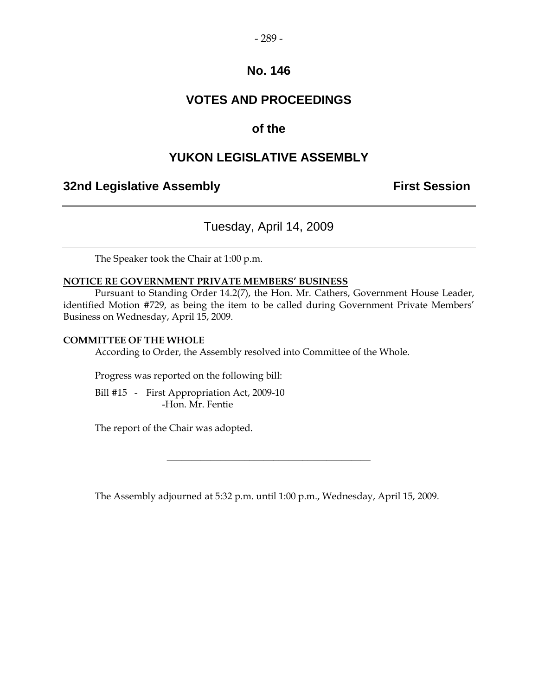### **VOTES AND PROCEEDINGS**

### **of the**

### **YUKON LEGISLATIVE ASSEMBLY**

#### **32nd Legislative Assembly The Contract Session**

### Tuesday, April 14, 2009

The Speaker took the Chair at 1:00 p.m.

#### **NOTICE RE GOVERNMENT PRIVATE MEMBERS' BUSINESS**

 Pursuant to Standing Order 14.2(7), the Hon. Mr. Cathers, Government House Leader, identified Motion #729, as being the item to be called during Government Private Members' Business on Wednesday, April 15, 2009.

#### **COMMITTEE OF THE WHOLE**

According to Order, the Assembly resolved into Committee of the Whole.

Progress was reported on the following bill:

Bill #15 - First Appropriation Act, 2009-10 -Hon. Mr. Fentie

The report of the Chair was adopted.

The Assembly adjourned at 5:32 p.m. until 1:00 p.m., Wednesday, April 15, 2009.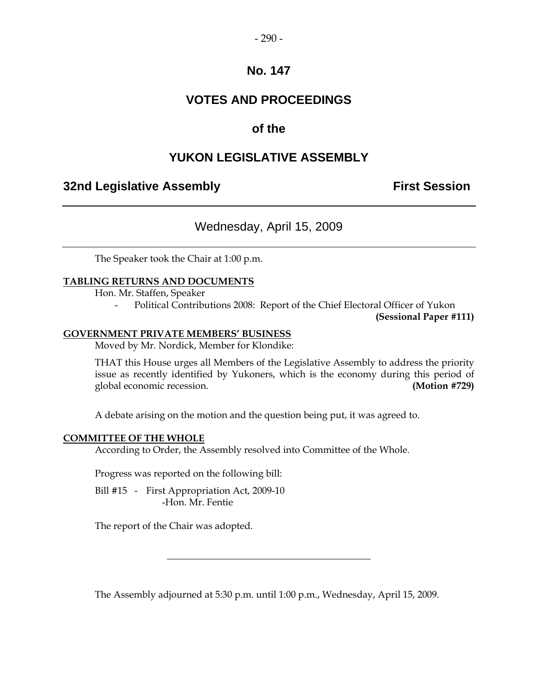### **VOTES AND PROCEEDINGS**

### **of the**

### **YUKON LEGISLATIVE ASSEMBLY**

### **32nd Legislative Assembly The Contract Session**

### Wednesday, April 15, 2009

The Speaker took the Chair at 1:00 p.m.

#### **TABLING RETURNS AND DOCUMENTS**

Hon. Mr. Staffen, Speaker

Political Contributions 2008: Report of the Chief Electoral Officer of Yukon

**(Sessional Paper #111)** 

#### **GOVERNMENT PRIVATE MEMBERS' BUSINESS**

Moved by Mr. Nordick, Member for Klondike:

 THAT this House urges all Members of the Legislative Assembly to address the priority issue as recently identified by Yukoners, which is the economy during this period of global economic recession. **(Motion #729)** 

A debate arising on the motion and the question being put, it was agreed to.

#### **COMMITTEE OF THE WHOLE**

According to Order, the Assembly resolved into Committee of the Whole.

Progress was reported on the following bill:

Bill #15 - First Appropriation Act, 2009-10 -Hon. Mr. Fentie

The report of the Chair was adopted.

The Assembly adjourned at 5:30 p.m. until 1:00 p.m., Wednesday, April 15, 2009.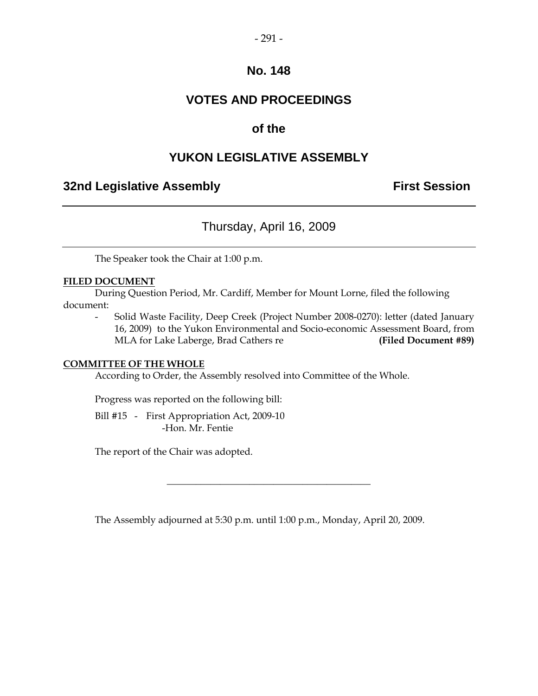### **VOTES AND PROCEEDINGS**

### **of the**

### **YUKON LEGISLATIVE ASSEMBLY**

#### **32nd Legislative Assembly The Contract Session**

### Thursday, April 16, 2009

The Speaker took the Chair at 1:00 p.m.

#### **FILED DOCUMENT**

 During Question Period, Mr. Cardiff, Member for Mount Lorne, filed the following document:

 - Solid Waste Facility, Deep Creek (Project Number 2008-0270): letter (dated January 16, 2009) to the Yukon Environmental and Socio-economic Assessment Board, from MLA for Lake Laberge, Brad Cathers re **(Filed Document #89)** 

#### **COMMITTEE OF THE WHOLE**

According to Order, the Assembly resolved into Committee of the Whole.

Progress was reported on the following bill:

 Bill #15 - First Appropriation Act, 2009-10 -Hon. Mr. Fentie

The report of the Chair was adopted.

The Assembly adjourned at 5:30 p.m. until 1:00 p.m., Monday, April 20, 2009.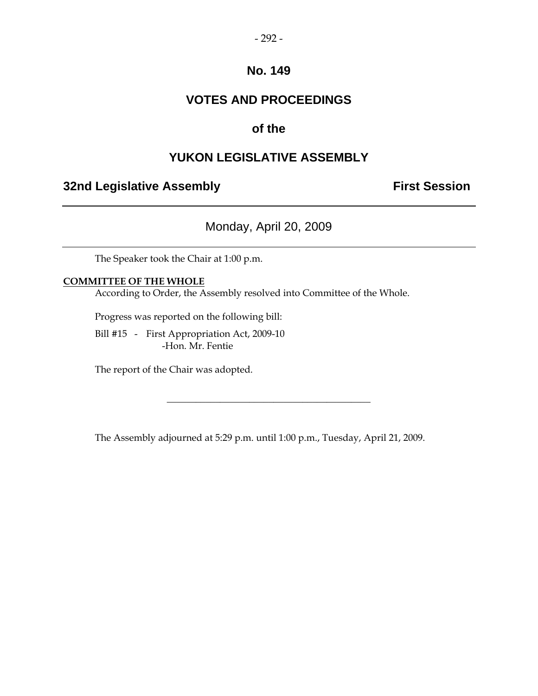### **VOTES AND PROCEEDINGS**

### **of the**

### **YUKON LEGISLATIVE ASSEMBLY**

### **32nd Legislative Assembly Constructed Session**

Monday, April 20, 2009

The Speaker took the Chair at 1:00 p.m.

#### **COMMITTEE OF THE WHOLE**

According to Order, the Assembly resolved into Committee of the Whole.

Progress was reported on the following bill:

 Bill #15 - First Appropriation Act, 2009-10 -Hon. Mr. Fentie

The report of the Chair was adopted.

The Assembly adjourned at 5:29 p.m. until 1:00 p.m., Tuesday, April 21, 2009.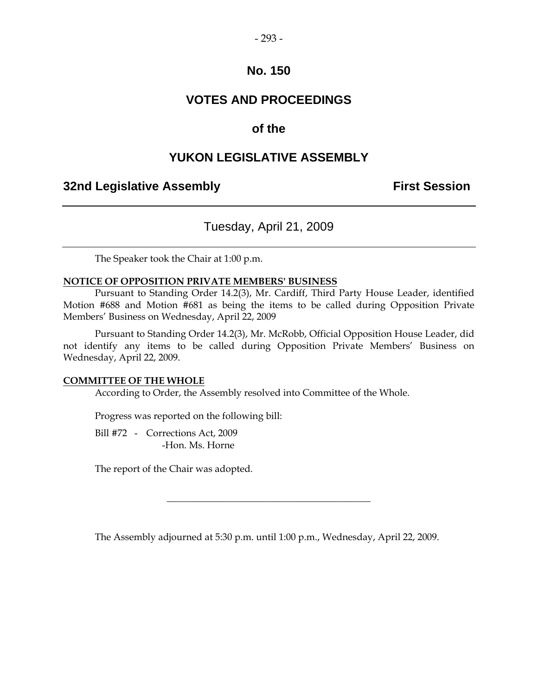#### $-293-$

#### **No. 150**

### **VOTES AND PROCEEDINGS**

#### **of the**

#### **YUKON LEGISLATIVE ASSEMBLY**

#### **32nd Legislative Assembly The Contract Session**

### Tuesday, April 21, 2009

The Speaker took the Chair at 1:00 p.m.

#### **NOTICE OF OPPOSITION PRIVATE MEMBERS' BUSINESS**

 Pursuant to Standing Order 14.2(3), Mr. Cardiff, Third Party House Leader, identified Motion #688 and Motion #681 as being the items to be called during Opposition Private Members' Business on Wednesday, April 22, 2009

 Pursuant to Standing Order 14.2(3), Mr. McRobb, Official Opposition House Leader, did not identify any items to be called during Opposition Private Members' Business on Wednesday, April 22, 2009.

#### **COMMITTEE OF THE WHOLE**

According to Order, the Assembly resolved into Committee of the Whole.

Progress was reported on the following bill:

 Bill #72 - Corrections Act, 2009 -Hon. Ms. Horne

The report of the Chair was adopted.

The Assembly adjourned at 5:30 p.m. until 1:00 p.m., Wednesday, April 22, 2009.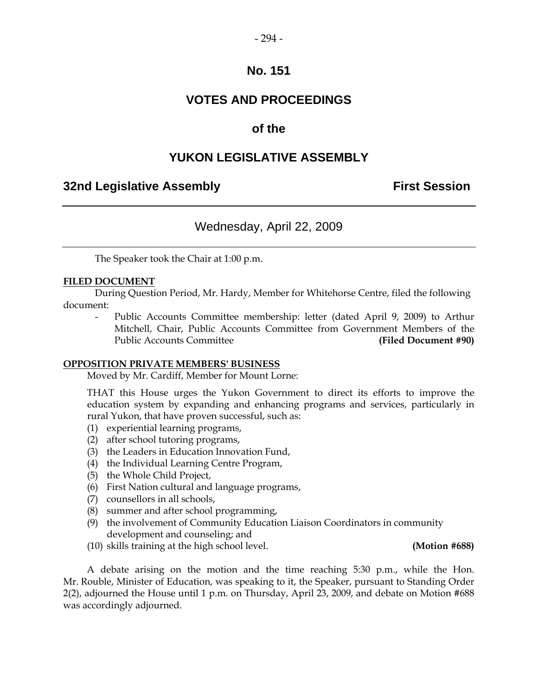### **VOTES AND PROCEEDINGS**

### **of the**

### **YUKON LEGISLATIVE ASSEMBLY**

### **32nd Legislative Assembly The Contract Session**

### Wednesday, April 22, 2009

The Speaker took the Chair at 1:00 p.m.

#### **FILED DOCUMENT**

 During Question Period, Mr. Hardy, Member for Whitehorse Centre, filed the following document:

Public Accounts Committee membership: letter (dated April 9, 2009) to Arthur Mitchell, Chair, Public Accounts Committee from Government Members of the Public Accounts Committee **(Filed Document #90)** 

#### **OPPOSITION PRIVATE MEMBERS' BUSINESS**

Moved by Mr. Cardiff, Member for Mount Lorne:

 THAT this House urges the Yukon Government to direct its efforts to improve the education system by expanding and enhancing programs and services, particularly in rural Yukon, that have proven successful, such as:

- (1) experiential learning programs,
- (2) after school tutoring programs,
- (3) the Leaders in Education Innovation Fund,
- (4) the Individual Learning Centre Program,
- (5) the Whole Child Project,
- (6) First Nation cultural and language programs,
- (7) counsellors in all schools,
- (8) summer and after school programming,
- (9) the involvement of Community Education Liaison Coordinators in community development and counseling; and
- (10) skills training at the high school level. **(Motion #688)**

 A debate arising on the motion and the time reaching 5:30 p.m., while the Hon. Mr. Rouble, Minister of Education, was speaking to it, the Speaker, pursuant to Standing Order 2(2), adjourned the House until 1 p.m. on Thursday, April 23, 2009, and debate on Motion #688 was accordingly adjourned.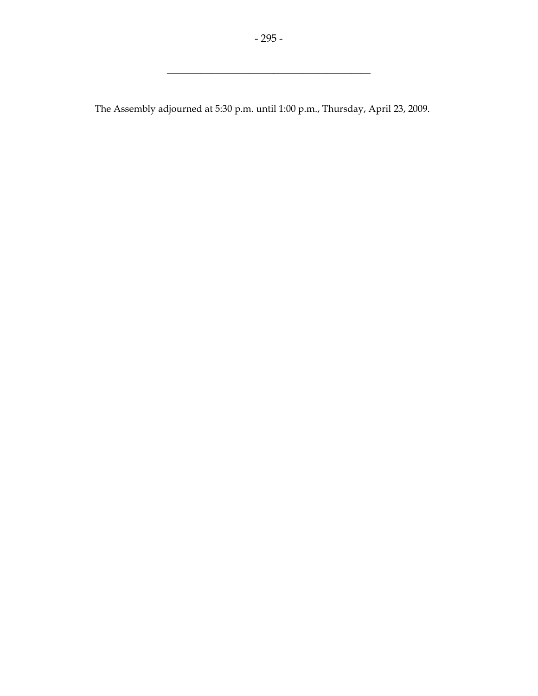\_\_\_\_\_\_\_\_\_\_\_\_\_\_\_\_\_\_\_\_\_\_\_\_\_\_\_\_\_\_\_\_\_\_\_\_\_\_\_\_\_\_

The Assembly adjourned at 5:30 p.m. until 1:00 p.m., Thursday, April 23, 2009.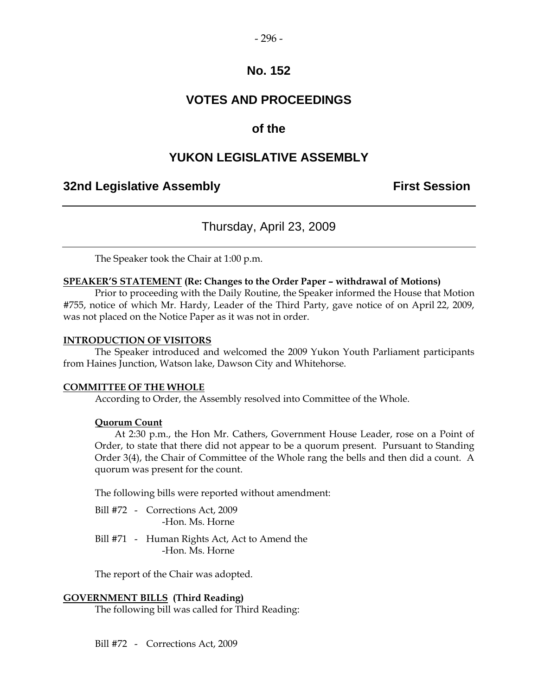### **VOTES AND PROCEEDINGS**

### **of the**

### **YUKON LEGISLATIVE ASSEMBLY**

#### **32nd Legislative Assembly The Contract Session**

### Thursday, April 23, 2009

The Speaker took the Chair at 1:00 p.m.

#### **SPEAKER'S STATEMENT (Re: Changes to the Order Paper – withdrawal of Motions)**

 Prior to proceeding with the Daily Routine, the Speaker informed the House that Motion #755, notice of which Mr. Hardy, Leader of the Third Party, gave notice of on April 22, 2009, was not placed on the Notice Paper as it was not in order.

#### **INTRODUCTION OF VISITORS**

 The Speaker introduced and welcomed the 2009 Yukon Youth Parliament participants from Haines Junction, Watson lake, Dawson City and Whitehorse.

#### **COMMITTEE OF THE WHOLE**

According to Order, the Assembly resolved into Committee of the Whole.

#### **Quorum Count**

 At 2:30 p.m., the Hon Mr. Cathers, Government House Leader, rose on a Point of Order, to state that there did not appear to be a quorum present. Pursuant to Standing Order 3(4), the Chair of Committee of the Whole rang the bells and then did a count. A quorum was present for the count.

The following bills were reported without amendment:

- Bill #72 Corrections Act, 2009 -Hon. Ms. Horne
- Bill #71 Human Rights Act, Act to Amend the -Hon. Ms. Horne

The report of the Chair was adopted.

#### **GOVERNMENT BILLS (Third Reading)**

The following bill was called for Third Reading:

Bill #72 - Corrections Act, 2009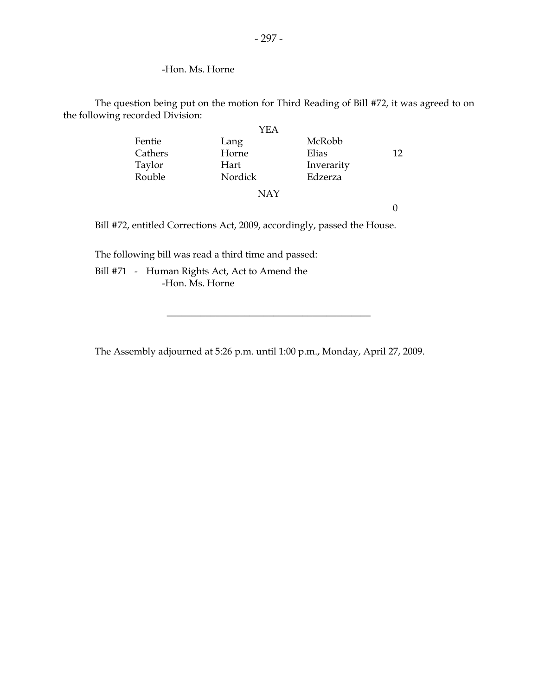#### -Hon. Ms. Horne

 The question being put on the motion for Third Reading of Bill #72, it was agreed to on the following recorded Division:

|                                                                          | YEA        |            |                  |
|--------------------------------------------------------------------------|------------|------------|------------------|
| Fentie                                                                   | Lang       | McRobb     |                  |
| Cathers                                                                  | Horne      | Elias      | 12               |
| Taylor                                                                   | Hart       | Inverarity |                  |
| Rouble                                                                   | Nordick    | Edzerza    |                  |
|                                                                          | <b>NAY</b> |            |                  |
|                                                                          |            |            | $\left( \right)$ |
| Bill #72, entitled Corrections Act, 2009, accordingly, passed the House. |            |            |                  |
|                                                                          |            |            |                  |

The following bill was read a third time and passed:

 Bill #71 - Human Rights Act, Act to Amend the -Hon. Ms. Horne

The Assembly adjourned at 5:26 p.m. until 1:00 p.m., Monday, April 27, 2009.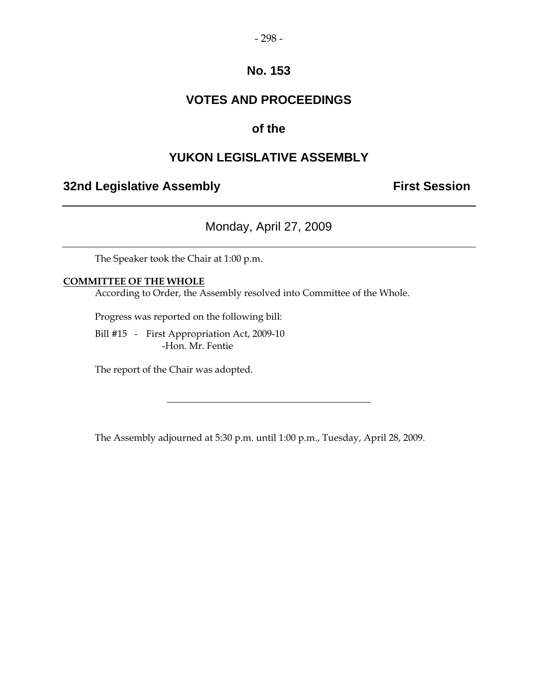### **VOTES AND PROCEEDINGS**

### **of the**

### **YUKON LEGISLATIVE ASSEMBLY**

### **32nd Legislative Assembly Constructed Session**

Monday, April 27, 2009

The Speaker took the Chair at 1:00 p.m.

#### **COMMITTEE OF THE WHOLE**

According to Order, the Assembly resolved into Committee of the Whole.

Progress was reported on the following bill:

 Bill #15 - First Appropriation Act, 2009-10 -Hon. Mr. Fentie

The report of the Chair was adopted.

The Assembly adjourned at 5:30 p.m. until 1:00 p.m., Tuesday, April 28, 2009.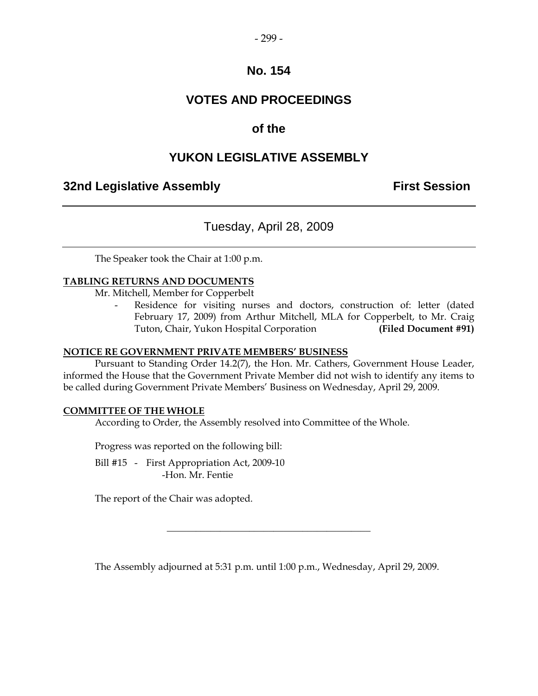### **VOTES AND PROCEEDINGS**

### **of the**

### **YUKON LEGISLATIVE ASSEMBLY**

### **32nd Legislative Assembly The Contract Session**

### Tuesday, April 28, 2009

The Speaker took the Chair at 1:00 p.m.

#### **TABLING RETURNS AND DOCUMENTS**

Mr. Mitchell, Member for Copperbelt

Residence for visiting nurses and doctors, construction of: letter (dated February 17, 2009) from Arthur Mitchell, MLA for Copperbelt, to Mr. Craig Tuton, Chair, Yukon Hospital Corporation **(Filed Document #91)** 

#### **NOTICE RE GOVERNMENT PRIVATE MEMBERS' BUSINESS**

 Pursuant to Standing Order 14.2(7), the Hon. Mr. Cathers, Government House Leader, informed the House that the Government Private Member did not wish to identify any items to be called during Government Private Members' Business on Wednesday, April 29, 2009.

#### **COMMITTEE OF THE WHOLE**

According to Order, the Assembly resolved into Committee of the Whole.

Progress was reported on the following bill:

Bill #15 - First Appropriation Act, 2009-10 -Hon. Mr. Fentie

The report of the Chair was adopted.

The Assembly adjourned at 5:31 p.m. until 1:00 p.m., Wednesday, April 29, 2009.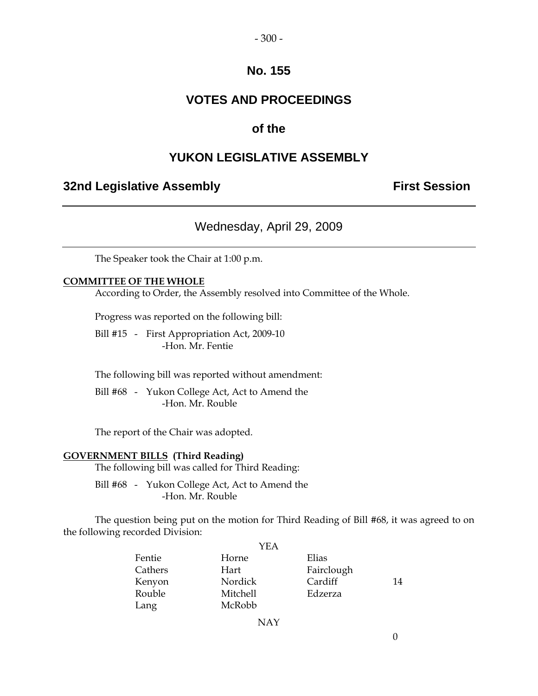### **VOTES AND PROCEEDINGS**

#### **of the**

### **YUKON LEGISLATIVE ASSEMBLY**

#### **32nd Legislative Assembly The Contract Session**

### Wednesday, April 29, 2009

The Speaker took the Chair at 1:00 p.m.

#### **COMMITTEE OF THE WHOLE**

According to Order, the Assembly resolved into Committee of the Whole.

Progress was reported on the following bill:

Bill #15 - First Appropriation Act, 2009-10 -Hon. Mr. Fentie

The following bill was reported without amendment:

 Bill #68 - Yukon College Act, Act to Amend the -Hon. Mr. Rouble

The report of the Chair was adopted.

#### **GOVERNMENT BILLS (Third Reading)**

The following bill was called for Third Reading:

 Bill #68 - Yukon College Act, Act to Amend the -Hon. Mr. Rouble

 The question being put on the motion for Third Reading of Bill #68, it was agreed to on the following recorded Division:

|         | YEA      |            |    |
|---------|----------|------------|----|
| Fentie  | Horne    | Elias      |    |
| Cathers | Hart     | Fairclough |    |
| Kenyon  | Nordick  | Cardiff    | 14 |
| Rouble  | Mitchell | Edzerza    |    |
| Lang    | McRobb   |            |    |

NAY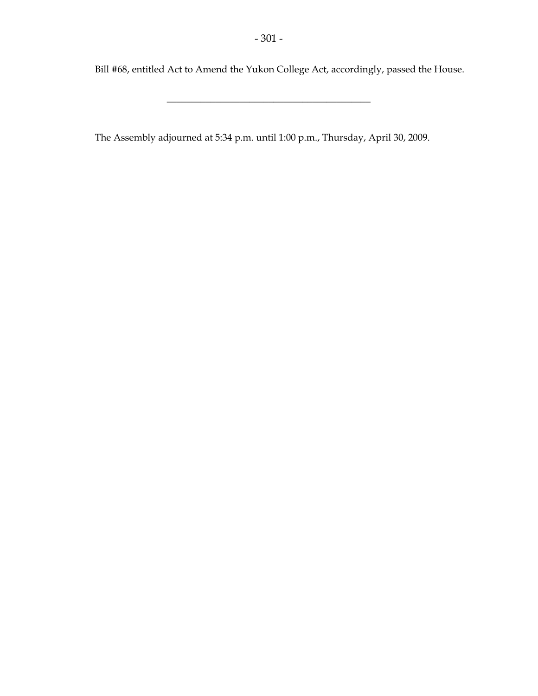\_\_\_\_\_\_\_\_\_\_\_\_\_\_\_\_\_\_\_\_\_\_\_\_\_\_\_\_\_\_\_\_\_\_\_\_\_\_\_\_\_\_

Bill #68, entitled Act to Amend the Yukon College Act, accordingly, passed the House.

The Assembly adjourned at 5:34 p.m. until 1:00 p.m., Thursday, April 30, 2009.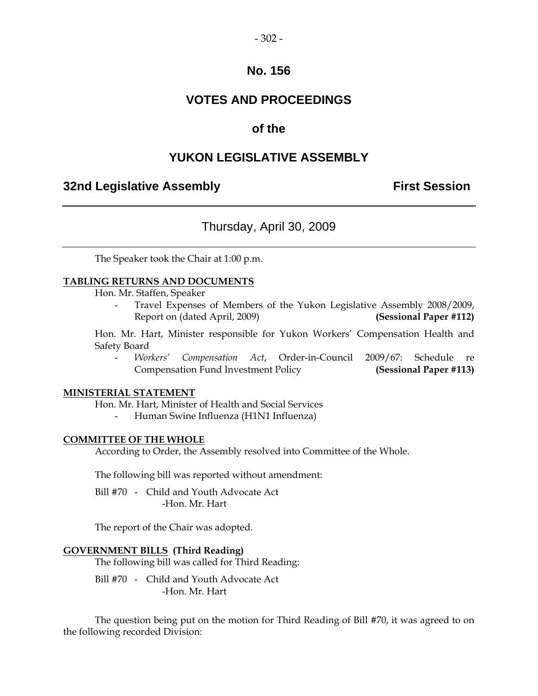## **No. 156**

# **VOTES AND PROCEEDINGS**

# **of the**

# **YUKON LEGISLATIVE ASSEMBLY**

## **32nd Legislative Assembly The Contract Session**

# Thursday, April 30, 2009

The Speaker took the Chair at 1:00 p.m.

#### **TABLING RETURNS AND DOCUMENTS**

Hon. Mr. Staffen, Speaker

Travel Expenses of Members of the Yukon Legislative Assembly 2008/2009, Report on (dated April, 2009) **(Sessional Paper #112)** 

 Hon. Mr. Hart, Minister responsible for Yukon Workers' Compensation Health and Safety Board

 - *Workers' Compensation Act*, Order-in-Council 2009/67: Schedule re Compensation Fund Investment Policy **(Sessional Paper #113)** 

#### **MINISTERIAL STATEMENT**

Hon. Mr. Hart, Minister of Health and Social Services

- Human Swine Influenza (H1N1 Influenza)

#### **COMMITTEE OF THE WHOLE**

According to Order, the Assembly resolved into Committee of the Whole.

The following bill was reported without amendment:

 Bill #70 - Child and Youth Advocate Act -Hon. Mr. Hart

The report of the Chair was adopted.

#### **GOVERNMENT BILLS (Third Reading)**

The following bill was called for Third Reading:

 Bill #70 - Child and Youth Advocate Act -Hon. Mr. Hart

 The question being put on the motion for Third Reading of Bill #70, it was agreed to on the following recorded Division: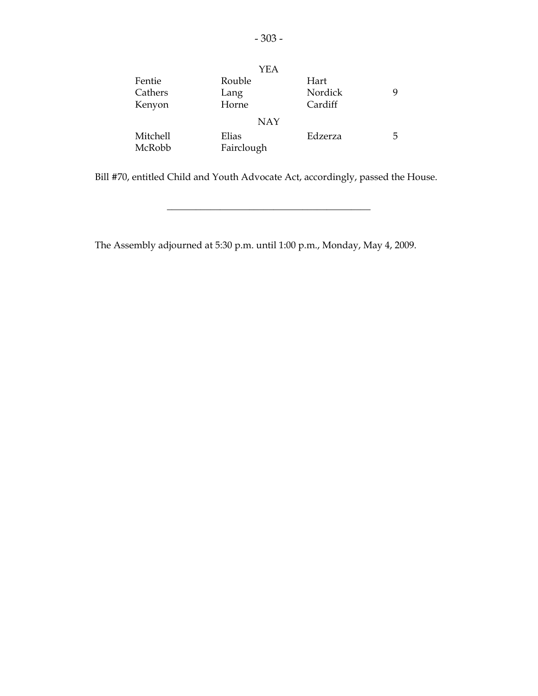|                   | YEA            |                 |   |
|-------------------|----------------|-----------------|---|
| Fentie<br>Cathers | Rouble<br>Lang | Hart<br>Nordick | 9 |
| Kenyon            | Horne          | Cardiff         |   |
|                   | <b>NAY</b>     |                 |   |
| Mitchell          | Elias          | Edzerza         | 5 |
| McRobb            | Fairclough     |                 |   |

Bill #70, entitled Child and Youth Advocate Act, accordingly, passed the House.

\_\_\_\_\_\_\_\_\_\_\_\_\_\_\_\_\_\_\_\_\_\_\_\_\_\_\_\_\_\_\_\_\_\_\_\_\_\_\_\_\_\_

The Assembly adjourned at 5:30 p.m. until 1:00 p.m., Monday, May 4, 2009.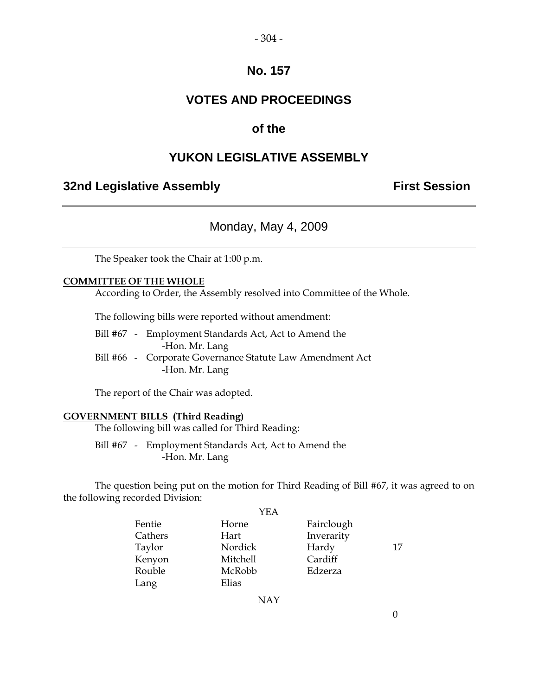## **No. 157**

## **VOTES AND PROCEEDINGS**

## **of the**

## **YUKON LEGISLATIVE ASSEMBLY**

## **32nd Legislative Assembly The Contract Session**

## Monday, May 4, 2009

The Speaker took the Chair at 1:00 p.m.

#### **COMMITTEE OF THE WHOLE**

According to Order, the Assembly resolved into Committee of the Whole.

The following bills were reported without amendment:

 Bill #67 - Employment Standards Act, Act to Amend the -Hon. Mr. Lang Bill #66 - Corporate Governance Statute Law Amendment Act -Hon. Mr. Lang

The report of the Chair was adopted.

#### **GOVERNMENT BILLS (Third Reading)**

The following bill was called for Third Reading:

 Bill #67 - Employment Standards Act, Act to Amend the -Hon. Mr. Lang

 The question being put on the motion for Third Reading of Bill #67, it was agreed to on the following recorded Division:

| YEA             |            |    |
|-----------------|------------|----|
| Horne           | Fairclough |    |
| Hart            | Inverarity |    |
| Nordick         | Hardy      | 17 |
| <b>Mitchell</b> | Cardiff    |    |
| McRobb          | Edzerza    |    |
| Elias           |            |    |
|                 |            |    |

NAY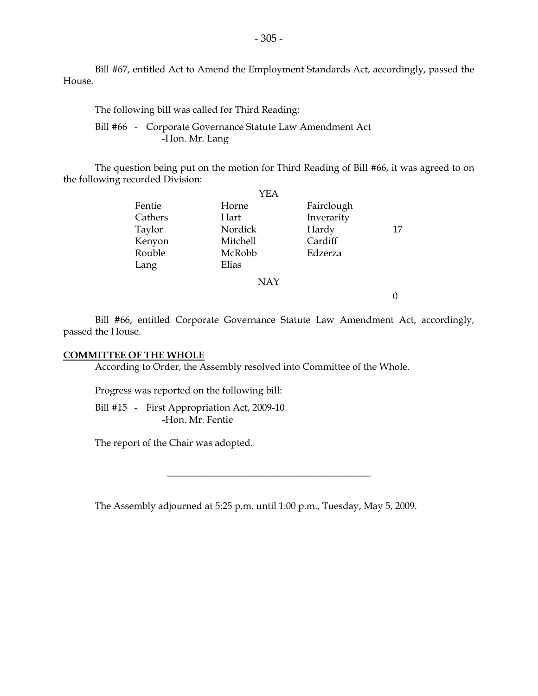Bill #67, entitled Act to Amend the Employment Standards Act, accordingly, passed the House.

The following bill was called for Third Reading:

 Bill #66 - Corporate Governance Statute Law Amendment Act -Hon. Mr. Lang

 The question being put on the motion for Third Reading of Bill #66, it was agreed to on the following recorded Division:

|         | YEA        |            |    |
|---------|------------|------------|----|
| Fentie  | Horne      | Fairclough |    |
| Cathers | Hart       | Inverarity |    |
| Taylor  | Nordick    | Hardy      | 17 |
| Kenyon  | Mitchell   | Cardiff    |    |
| Rouble  | McRobb     | Edzerza    |    |
| Lang    | Elias      |            |    |
|         | <b>NAY</b> |            |    |
|         |            |            |    |

 Bill #66, entitled Corporate Governance Statute Law Amendment Act, accordingly, passed the House.

#### **COMMITTEE OF THE WHOLE**

According to Order, the Assembly resolved into Committee of the Whole.

Progress was reported on the following bill:

 Bill #15 - First Appropriation Act, 2009-10 -Hon. Mr. Fentie

The report of the Chair was adopted.

The Assembly adjourned at 5:25 p.m. until 1:00 p.m., Tuesday, May 5, 2009.

\_\_\_\_\_\_\_\_\_\_\_\_\_\_\_\_\_\_\_\_\_\_\_\_\_\_\_\_\_\_\_\_\_\_\_\_\_\_\_\_\_\_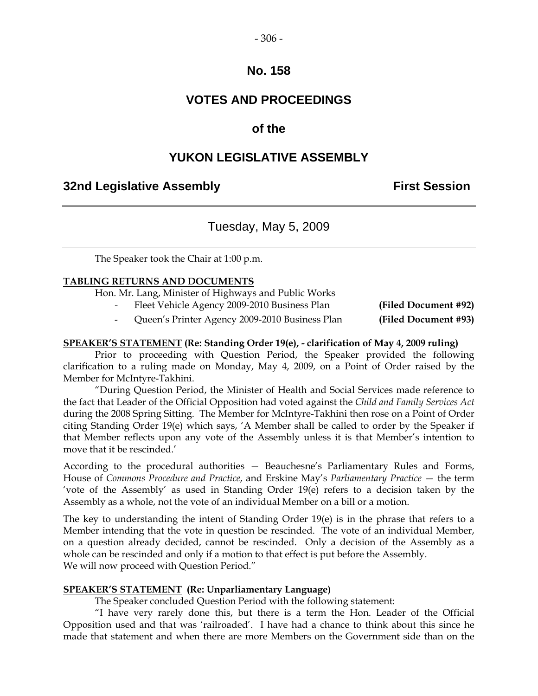#### $-306-$

## **No. 158**

# **VOTES AND PROCEEDINGS**

## **of the**

## **YUKON LEGISLATIVE ASSEMBLY**

## **32nd Legislative Assembly First Session**

## Tuesday, May 5, 2009

The Speaker took the Chair at 1:00 p.m.

#### **TABLING RETURNS AND DOCUMENTS**

Hon. Mr. Lang, Minister of Highways and Public Works

Fleet Vehicle Agency 2009-2010 Business Plan **(Filed Document #92)** 

- Queen's Printer Agency 2009-2010 Business Plan **(Filed Document #93)** 

#### **SPEAKER'S STATEMENT (Re: Standing Order 19(e), - clarification of May 4, 2009 ruling)**

 Prior to proceeding with Question Period, the Speaker provided the following clarification to a ruling made on Monday, May 4, 2009, on a Point of Order raised by the Member for McIntyre-Takhini.

 "During Question Period, the Minister of Health and Social Services made reference to the fact that Leader of the Official Opposition had voted against the *Child and Family Services Act* during the 2008 Spring Sitting. The Member for McIntyre-Takhini then rose on a Point of Order citing Standing Order 19(e) which says, 'A Member shall be called to order by the Speaker if that Member reflects upon any vote of the Assembly unless it is that Member's intention to move that it be rescinded.'

According to the procedural authorities — Beauchesne's Parliamentary Rules and Forms, House of *Commons Procedure and Practice*, and Erskine May's *Parliamentary Practice* — the term 'vote of the Assembly' as used in Standing Order 19(e) refers to a decision taken by the Assembly as a whole, not the vote of an individual Member on a bill or a motion.

The key to understanding the intent of Standing Order 19(e) is in the phrase that refers to a Member intending that the vote in question be rescinded. The vote of an individual Member, on a question already decided, cannot be rescinded. Only a decision of the Assembly as a whole can be rescinded and only if a motion to that effect is put before the Assembly. We will now proceed with Question Period."

#### **SPEAKER'S STATEMENT (Re: Unparliamentary Language)**

The Speaker concluded Question Period with the following statement:

"I have very rarely done this, but there is a term the Hon. Leader of the Official Opposition used and that was 'railroaded'. I have had a chance to think about this since he made that statement and when there are more Members on the Government side than on the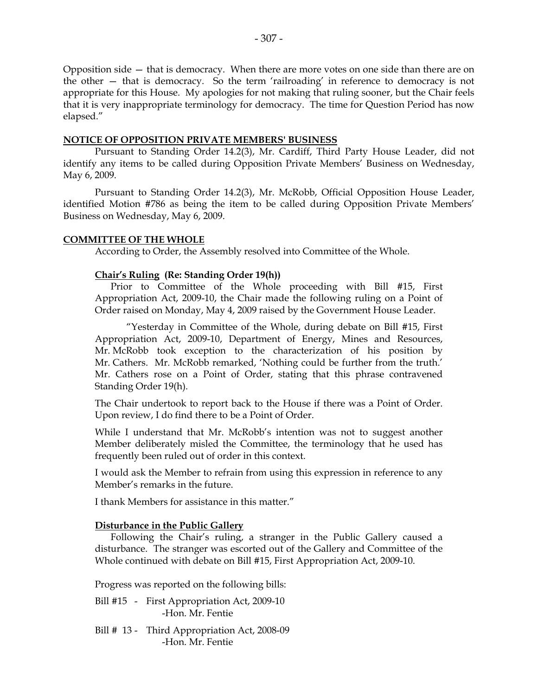Opposition side — that is democracy. When there are more votes on one side than there are on the other — that is democracy. So the term 'railroading' in reference to democracy is not appropriate for this House. My apologies for not making that ruling sooner, but the Chair feels that it is very inappropriate terminology for democracy. The time for Question Period has now elapsed."

#### **NOTICE OF OPPOSITION PRIVATE MEMBERS' BUSINESS**

 Pursuant to Standing Order 14.2(3), Mr. Cardiff, Third Party House Leader, did not identify any items to be called during Opposition Private Members' Business on Wednesday, May 6, 2009.

 Pursuant to Standing Order 14.2(3), Mr. McRobb, Official Opposition House Leader, identified Motion #786 as being the item to be called during Opposition Private Members' Business on Wednesday, May 6, 2009.

#### **COMMITTEE OF THE WHOLE**

According to Order, the Assembly resolved into Committee of the Whole.

#### **Chair's Ruling (Re: Standing Order 19(h))**

 Prior to Committee of the Whole proceeding with Bill #15, First Appropriation Act, 2009-10, the Chair made the following ruling on a Point of Order raised on Monday, May 4, 2009 raised by the Government House Leader.

 "Yesterday in Committee of the Whole, during debate on Bill #15, First Appropriation Act, 2009-10, Department of Energy, Mines and Resources, Mr. McRobb took exception to the characterization of his position by Mr. Cathers. Mr. McRobb remarked, 'Nothing could be further from the truth.' Mr. Cathers rose on a Point of Order, stating that this phrase contravened Standing Order 19(h).

The Chair undertook to report back to the House if there was a Point of Order. Upon review, I do find there to be a Point of Order.

While I understand that Mr. McRobb's intention was not to suggest another Member deliberately misled the Committee, the terminology that he used has frequently been ruled out of order in this context.

I would ask the Member to refrain from using this expression in reference to any Member's remarks in the future.

I thank Members for assistance in this matter."

#### **Disturbance in the Public Gallery**

 Following the Chair's ruling, a stranger in the Public Gallery caused a disturbance. The stranger was escorted out of the Gallery and Committee of the Whole continued with debate on Bill #15, First Appropriation Act, 2009-10.

Progress was reported on the following bills:

- Bill #15 First Appropriation Act, 2009-10 -Hon. Mr. Fentie
- Bill # 13 Third Appropriation Act, 2008-09 -Hon. Mr. Fentie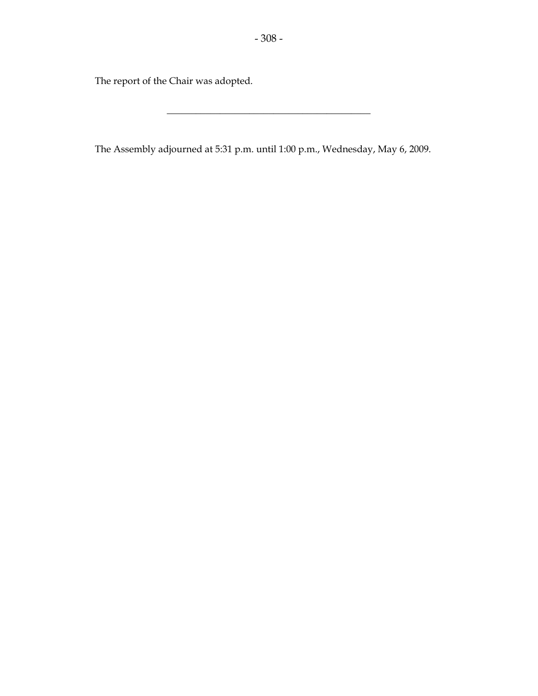The report of the Chair was adopted.

The Assembly adjourned at 5:31 p.m. until 1:00 p.m., Wednesday, May 6, 2009.

\_\_\_\_\_\_\_\_\_\_\_\_\_\_\_\_\_\_\_\_\_\_\_\_\_\_\_\_\_\_\_\_\_\_\_\_\_\_\_\_\_\_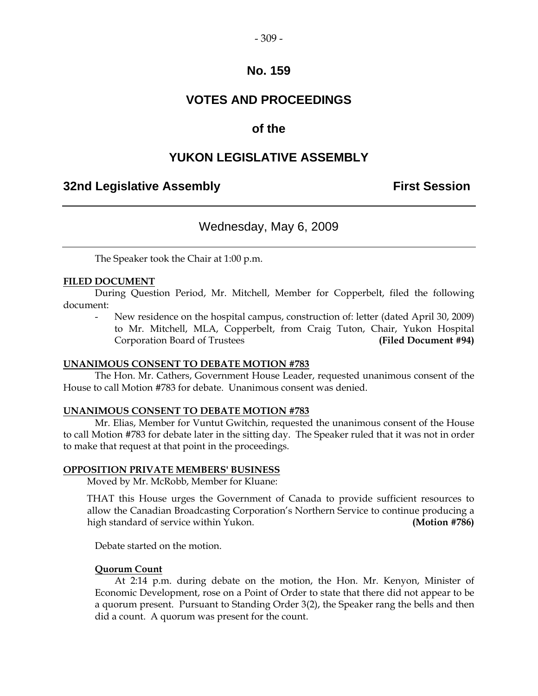## **No. 159**

# **VOTES AND PROCEEDINGS**

## **of the**

## **YUKON LEGISLATIVE ASSEMBLY**

## **32nd Legislative Assembly First Session**

## Wednesday, May 6, 2009

The Speaker took the Chair at 1:00 p.m.

#### **FILED DOCUMENT**

 During Question Period, Mr. Mitchell, Member for Copperbelt, filed the following document:

New residence on the hospital campus, construction of: letter (dated April 30, 2009) to Mr. Mitchell, MLA, Copperbelt, from Craig Tuton, Chair, Yukon Hospital Corporation Board of Trustees **(Filed Document #94)** 

#### **UNANIMOUS CONSENT TO DEBATE MOTION #783**

 The Hon. Mr. Cathers, Government House Leader, requested unanimous consent of the House to call Motion #783 for debate. Unanimous consent was denied.

#### **UNANIMOUS CONSENT TO DEBATE MOTION #783**

 Mr. Elias, Member for Vuntut Gwitchin, requested the unanimous consent of the House to call Motion #783 for debate later in the sitting day. The Speaker ruled that it was not in order to make that request at that point in the proceedings.

#### **OPPOSITION PRIVATE MEMBERS' BUSINESS**

Moved by Mr. McRobb, Member for Kluane:

 THAT this House urges the Government of Canada to provide sufficient resources to allow the Canadian Broadcasting Corporation's Northern Service to continue producing a high standard of service within Yukon. **(Motion #786)** 

Debate started on the motion.

#### **Quorum Count**

 At 2:14 p.m. during debate on the motion, the Hon. Mr. Kenyon, Minister of Economic Development, rose on a Point of Order to state that there did not appear to be a quorum present. Pursuant to Standing Order 3(2), the Speaker rang the bells and then did a count. A quorum was present for the count.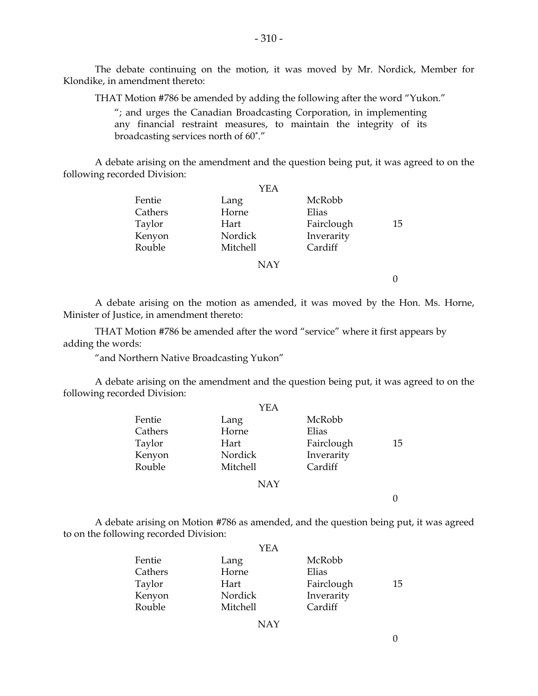The debate continuing on the motion, it was moved by Mr. Nordick, Member for Klondike, in amendment thereto:

THAT Motion #786 be amended by adding the following after the word "Yukon."

 "; and urges the Canadian Broadcasting Corporation, in implementing any financial restraint measures, to maintain the integrity of its broadcasting services north of 60˚."

 A debate arising on the amendment and the question being put, it was agreed to on the following recorded Division:

|         | YEA        |            |    |
|---------|------------|------------|----|
| Fentie  | Lang       | McRobb     |    |
| Cathers | Horne      | Elias      |    |
| Taylor  | Hart       | Fairclough | 15 |
| Kenyon  | Nordick    | Inverarity |    |
| Rouble  | Mitchell   | Cardiff    |    |
|         | <b>NAY</b> |            |    |
|         |            |            |    |

 A debate arising on the motion as amended, it was moved by the Hon. Ms. Horne, Minister of Justice, in amendment thereto:

 THAT Motion #786 be amended after the word "service" where it first appears by adding the words:

"and Northern Native Broadcasting Yukon"

 A debate arising on the amendment and the question being put, it was agreed to on the following recorded Division:

| YEA        |            |    |
|------------|------------|----|
| Lang       | McRobb     |    |
| Horne      | Elias      |    |
| Hart       | Fairclough | 15 |
| Nordick    | Inverarity |    |
| Mitchell   | Cardiff    |    |
| <b>NAY</b> |            |    |
|            |            |    |
|            |            |    |

 A debate arising on Motion #786 as amended, and the question being put, it was agreed to on the following recorded Division:

|         | YEA      |            |    |
|---------|----------|------------|----|
| Fentie  | Lang     | McRobb     |    |
| Cathers | Horne    | Elias      |    |
| Taylor  | Hart     | Fairclough | 15 |
| Kenyon  | Nordick  | Inverarity |    |
| Rouble  | Mitchell | Cardiff    |    |

NAY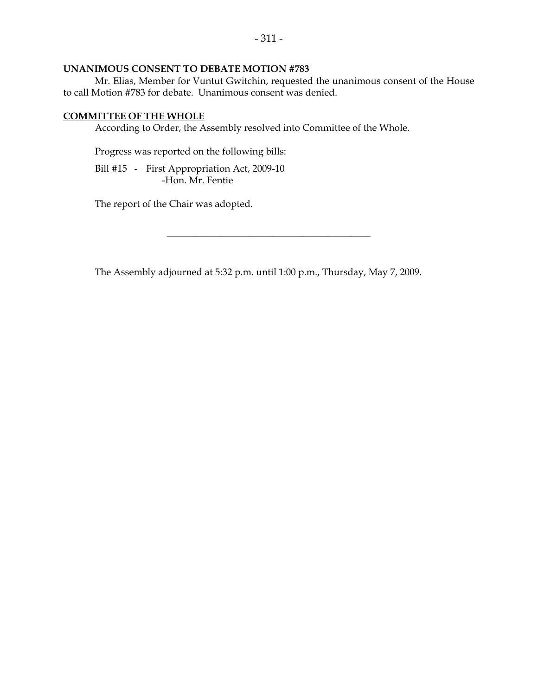## **UNANIMOUS CONSENT TO DEBATE MOTION #783**

 Mr. Elias, Member for Vuntut Gwitchin, requested the unanimous consent of the House to call Motion #783 for debate. Unanimous consent was denied.

#### **COMMITTEE OF THE WHOLE**

According to Order, the Assembly resolved into Committee of the Whole.

Progress was reported on the following bills:

 Bill #15 - First Appropriation Act, 2009-10 -Hon. Mr. Fentie

The report of the Chair was adopted.

The Assembly adjourned at 5:32 p.m. until 1:00 p.m., Thursday, May 7, 2009.

\_\_\_\_\_\_\_\_\_\_\_\_\_\_\_\_\_\_\_\_\_\_\_\_\_\_\_\_\_\_\_\_\_\_\_\_\_\_\_\_\_\_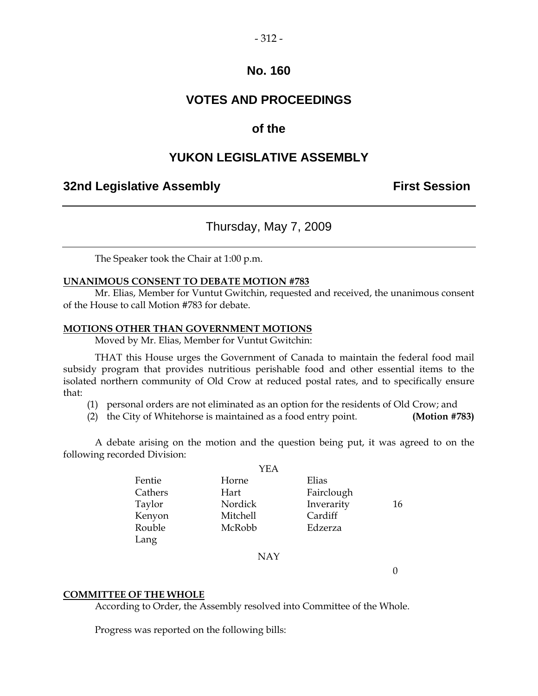#### $-312-$

## **No. 160**

# **VOTES AND PROCEEDINGS**

## **of the**

## **YUKON LEGISLATIVE ASSEMBLY**

## **32nd Legislative Assembly The Contract Session**

## Thursday, May 7, 2009

The Speaker took the Chair at 1:00 p.m.

#### **UNANIMOUS CONSENT TO DEBATE MOTION #783**

 Mr. Elias, Member for Vuntut Gwitchin, requested and received, the unanimous consent of the House to call Motion #783 for debate.

#### **MOTIONS OTHER THAN GOVERNMENT MOTIONS**

Moved by Mr. Elias, Member for Vuntut Gwitchin:

 THAT this House urges the Government of Canada to maintain the federal food mail subsidy program that provides nutritious perishable food and other essential items to the isolated northern community of Old Crow at reduced postal rates, and to specifically ensure that:

- (1) personal orders are not eliminated as an option for the residents of Old Crow; and
- (2) the City of Whitehorse is maintained as a food entry point. **(Motion #783)**

 A debate arising on the motion and the question being put, it was agreed to on the following recorded Division:

|         | YEA      |            |    |
|---------|----------|------------|----|
| Fentie  | Horne    | Elias      |    |
| Cathers | Hart     | Fairclough |    |
| Taylor  | Nordick  | Inverarity | 16 |
| Kenyon  | Mitchell | Cardiff    |    |
| Rouble  | McRobb   | Edzerza    |    |
| Lang    |          |            |    |

#### NAY

 $\theta$ 

#### **COMMITTEE OF THE WHOLE**

According to Order, the Assembly resolved into Committee of the Whole.

Progress was reported on the following bills: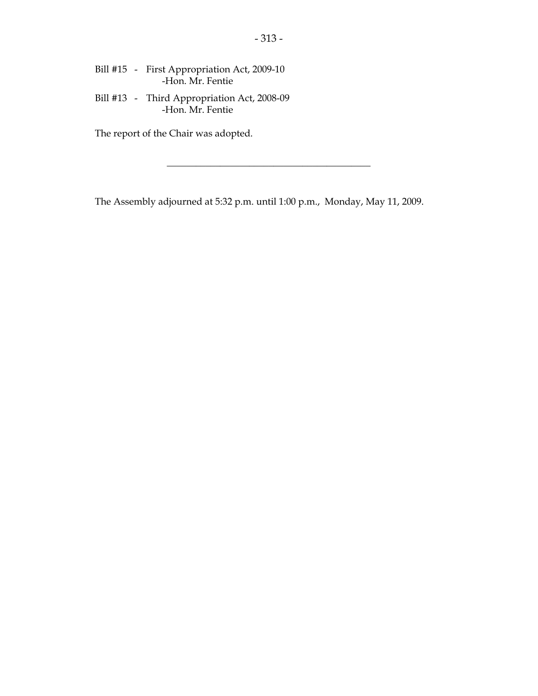- Bill #15 First Appropriation Act, 2009-10 -Hon. Mr. Fentie
- Bill #13 Third Appropriation Act, 2008-09 -Hon. Mr. Fentie

The report of the Chair was adopted.

The Assembly adjourned at 5:32 p.m. until 1:00 p.m., Monday, May 11, 2009.

\_\_\_\_\_\_\_\_\_\_\_\_\_\_\_\_\_\_\_\_\_\_\_\_\_\_\_\_\_\_\_\_\_\_\_\_\_\_\_\_\_\_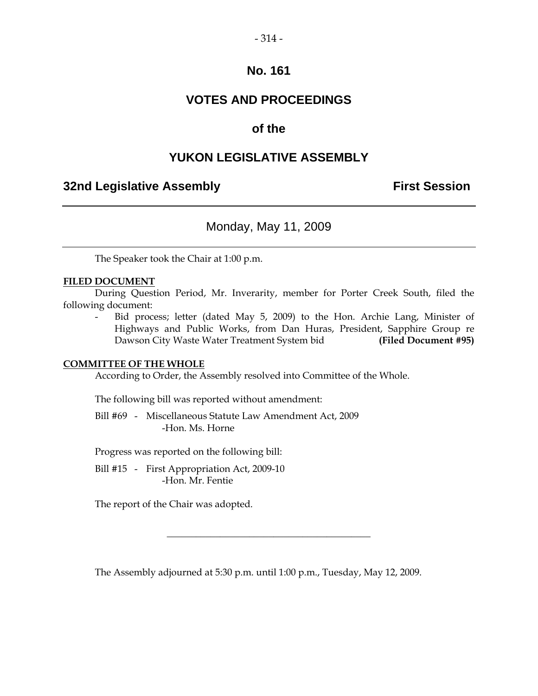#### $-314-$

## **No. 161**

# **VOTES AND PROCEEDINGS**

## **of the**

## **YUKON LEGISLATIVE ASSEMBLY**

## **32nd Legislative Assembly The Contract Session**

## Monday, May 11, 2009

The Speaker took the Chair at 1:00 p.m.

#### **FILED DOCUMENT**

 During Question Period, Mr. Inverarity, member for Porter Creek South, filed the following document:

Bid process; letter (dated May 5, 2009) to the Hon. Archie Lang, Minister of Highways and Public Works, from Dan Huras, President, Sapphire Group re Dawson City Waste Water Treatment System bid **(Filed Document #95)** 

#### **COMMITTEE OF THE WHOLE**

According to Order, the Assembly resolved into Committee of the Whole.

The following bill was reported without amendment:

 Bill #69 - Miscellaneous Statute Law Amendment Act, 2009 -Hon. Ms. Horne

Progress was reported on the following bill:

Bill #15 - First Appropriation Act, 2009-10 -Hon. Mr. Fentie

The report of the Chair was adopted.

The Assembly adjourned at 5:30 p.m. until 1:00 p.m., Tuesday, May 12, 2009.

\_\_\_\_\_\_\_\_\_\_\_\_\_\_\_\_\_\_\_\_\_\_\_\_\_\_\_\_\_\_\_\_\_\_\_\_\_\_\_\_\_\_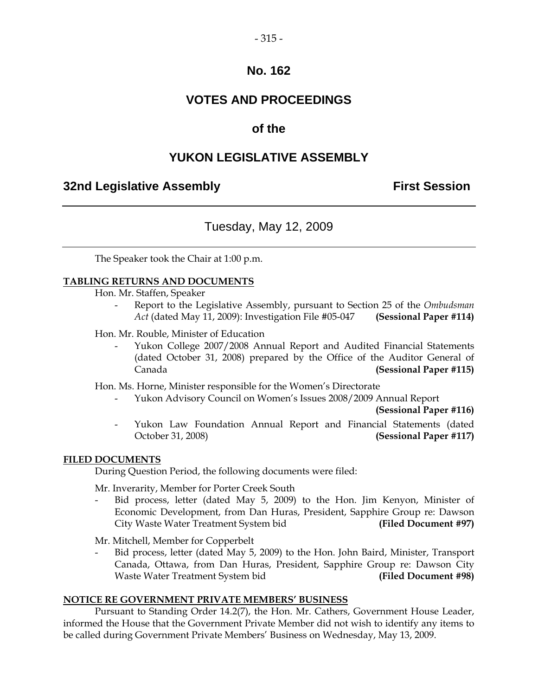## **No. 162**

# **VOTES AND PROCEEDINGS**

## **of the**

## **YUKON LEGISLATIVE ASSEMBLY**

## **32nd Legislative Assembly First Session**

## Tuesday, May 12, 2009

The Speaker took the Chair at 1:00 p.m.

#### **TABLING RETURNS AND DOCUMENTS**

Hon. Mr. Staffen, Speaker

- Report to the Legislative Assembly, pursuant to Section 25 of the *Ombudsman Act* (dated May 11, 2009): Investigation File #05-047 **(Sessional Paper #114)**
- Hon. Mr. Rouble, Minister of Education
	- Yukon College 2007/2008 Annual Report and Audited Financial Statements (dated October 31, 2008) prepared by the Office of the Auditor General of Canada **(Sessional Paper #115)**

Hon. Ms. Horne, Minister responsible for the Women's Directorate

- Yukon Advisory Council on Women's Issues 2008/2009 Annual Report

**(Sessional Paper #116)** 

 - Yukon Law Foundation Annual Report and Financial Statements (dated October 31, 2008) **(Sessional Paper #117)** 

#### **FILED DOCUMENTS**

During Question Period, the following documents were filed:

Mr. Inverarity, Member for Porter Creek South

Bid process, letter (dated May 5, 2009) to the Hon. Jim Kenyon, Minister of Economic Development, from Dan Huras, President, Sapphire Group re: Dawson City Waste Water Treatment System bid **(Filed Document #97)** 

Mr. Mitchell, Member for Copperbelt

 - Bid process, letter (dated May 5, 2009) to the Hon. John Baird, Minister, Transport Canada, Ottawa, from Dan Huras, President, Sapphire Group re: Dawson City Waste Water Treatment System bid **(Filed Document #98)** 

#### **NOTICE RE GOVERNMENT PRIVATE MEMBERS' BUSINESS**

 Pursuant to Standing Order 14.2(7), the Hon. Mr. Cathers, Government House Leader, informed the House that the Government Private Member did not wish to identify any items to be called during Government Private Members' Business on Wednesday, May 13, 2009.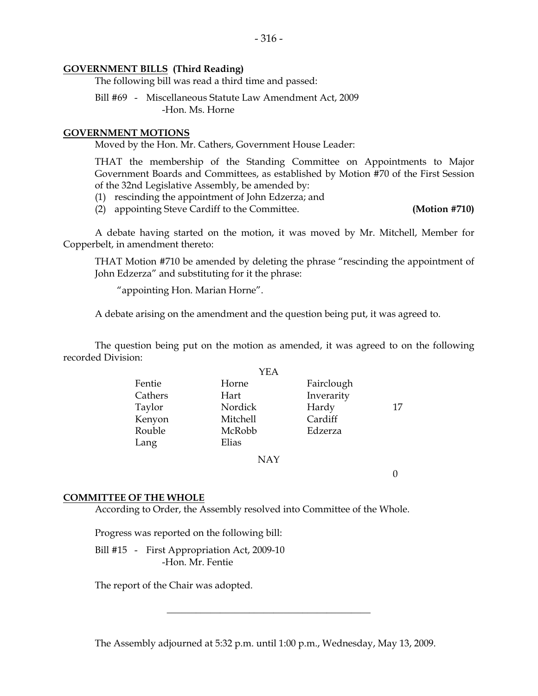#### **GOVERNMENT BILLS (Third Reading)**

The following bill was read a third time and passed:

 Bill #69 - Miscellaneous Statute Law Amendment Act, 2009 -Hon. Ms. Horne

#### **GOVERNMENT MOTIONS**

Moved by the Hon. Mr. Cathers, Government House Leader:

 THAT the membership of the Standing Committee on Appointments to Major Government Boards and Committees, as established by Motion #70 of the First Session of the 32nd Legislative Assembly, be amended by:

- (1) rescinding the appointment of John Edzerza; and
- (2) appointing Steve Cardiff to the Committee. **(Motion #710)**

 A debate having started on the motion, it was moved by Mr. Mitchell, Member for Copperbelt, in amendment thereto:

 THAT Motion #710 be amended by deleting the phrase "rescinding the appointment of John Edzerza" and substituting for it the phrase:

"appointing Hon. Marian Horne".

A debate arising on the amendment and the question being put, it was agreed to.

 The question being put on the motion as amended, it was agreed to on the following recorded Division:

|         | YEA      |            |    |
|---------|----------|------------|----|
| Fentie  | Horne    | Fairclough |    |
| Cathers | Hart     | Inverarity |    |
| Taylor  | Nordick  | Hardy      | 17 |
| Kenyon  | Mitchell | Cardiff    |    |
| Rouble  | McRobb   | Edzerza    |    |
| Lang    | Elias    |            |    |
|         | NAY      |            |    |

 $\theta$ 

#### **COMMITTEE OF THE WHOLE**

According to Order, the Assembly resolved into Committee of the Whole.

Progress was reported on the following bill:

 Bill #15 - First Appropriation Act, 2009-10 -Hon. Mr. Fentie

The report of the Chair was adopted.

The Assembly adjourned at 5:32 p.m. until 1:00 p.m., Wednesday, May 13, 2009.

\_\_\_\_\_\_\_\_\_\_\_\_\_\_\_\_\_\_\_\_\_\_\_\_\_\_\_\_\_\_\_\_\_\_\_\_\_\_\_\_\_\_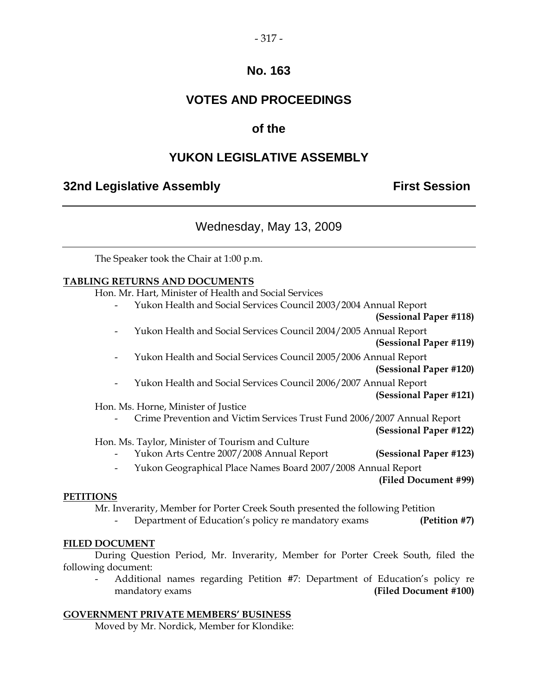#### $-317-$

## **No. 163**

# **VOTES AND PROCEEDINGS**

# **of the**

# **YUKON LEGISLATIVE ASSEMBLY**

## **32nd Legislative Assembly The Contract Session**

## Wednesday, May 13, 2009

The Speaker took the Chair at 1:00 p.m.

#### **TABLING RETURNS AND DOCUMENTS**

Hon. Mr. Hart, Minister of Health and Social Services

- Yukon Health and Social Services Council 2003/2004 Annual Report
	- **(Sessional Paper #118)**
- Yukon Health and Social Services Council 2004/2005 Annual Report
	- **(Sessional Paper #119)**
- Yukon Health and Social Services Council 2005/2006 Annual Report

**(Sessional Paper #120)** 

- Yukon Health and Social Services Council 2006/2007 Annual Report

#### **(Sessional Paper #121)**

Hon. Ms. Horne, Minister of Justice

- Crime Prevention and Victim Services Trust Fund 2006/2007 Annual Report

**(Sessional Paper #122)** 

#### Hon. Ms. Taylor, Minister of Tourism and Culture

- Yukon Arts Centre 2007/2008 Annual Report **(Sessional Paper #123)**
- Yukon Geographical Place Names Board 2007/2008 Annual Report

**(Filed Document #99)**

#### **PETITIONS**

Mr. Inverarity, Member for Porter Creek South presented the following Petition

- Department of Education's policy re mandatory exams **(Petition #7)** 

#### **FILED DOCUMENT**

 During Question Period, Mr. Inverarity, Member for Porter Creek South, filed the following document:

 - Additional names regarding Petition #7: Department of Education's policy re mandatory exams **(Filed Document #100)** 

#### **GOVERNMENT PRIVATE MEMBERS' BUSINESS**

Moved by Mr. Nordick, Member for Klondike: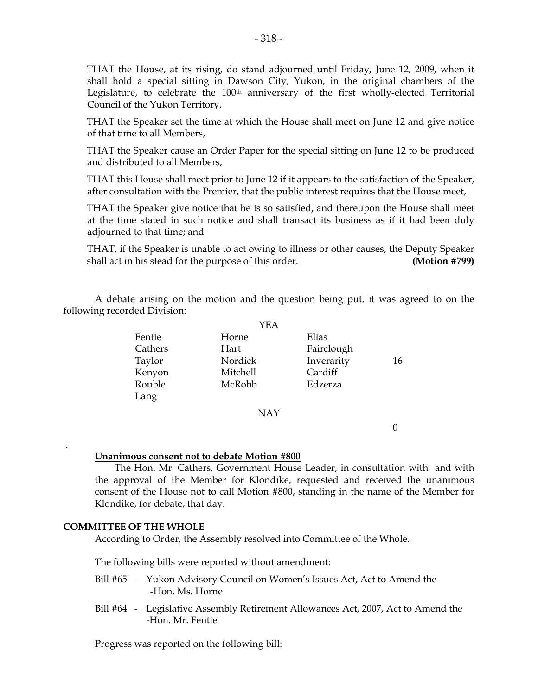THAT the House, at its rising, do stand adjourned until Friday, June 12, 2009, when it shall hold a special sitting in Dawson City, Yukon, in the original chambers of the Legislature, to celebrate the 100th anniversary of the first wholly-elected Territorial Council of the Yukon Territory,

 THAT the Speaker set the time at which the House shall meet on June 12 and give notice of that time to all Members,

 THAT the Speaker cause an Order Paper for the special sitting on June 12 to be produced and distributed to all Members,

 THAT this House shall meet prior to June 12 if it appears to the satisfaction of the Speaker, after consultation with the Premier, that the public interest requires that the House meet,

 THAT the Speaker give notice that he is so satisfied, and thereupon the House shall meet at the time stated in such notice and shall transact its business as if it had been duly adjourned to that time; and

THAT, if the Speaker is unable to act owing to illness or other causes, the Deputy Speaker shall act in his stead for the purpose of this order. **(Motion #799)** 

 A debate arising on the motion and the question being put, it was agreed to on the following recorded Division:

|         | YEA        |            |    |
|---------|------------|------------|----|
| Fentie  | Horne      | Elias      |    |
| Cathers | Hart       | Fairclough |    |
| Taylor  | Nordick    | Inverarity | 16 |
| Kenyon  | Mitchell   | Cardiff    |    |
| Rouble  | McRobb     | Edzerza    |    |
| Lang    |            |            |    |
|         | <b>NAY</b> |            |    |

 $\overline{0}$ 

#### **Unanimous consent not to debate Motion #800**

 The Hon. Mr. Cathers, Government House Leader, in consultation with and with the approval of the Member for Klondike, requested and received the unanimous consent of the House not to call Motion #800, standing in the name of the Member for Klondike, for debate, that day.

#### **COMMITTEE OF THE WHOLE**

.

According to Order, the Assembly resolved into Committee of the Whole.

The following bills were reported without amendment:

- Bill #65 Yukon Advisory Council on Women's Issues Act, Act to Amend the -Hon. Ms. Horne
- Bill #64 Legislative Assembly Retirement Allowances Act, 2007, Act to Amend the -Hon. Mr. Fentie

Progress was reported on the following bill: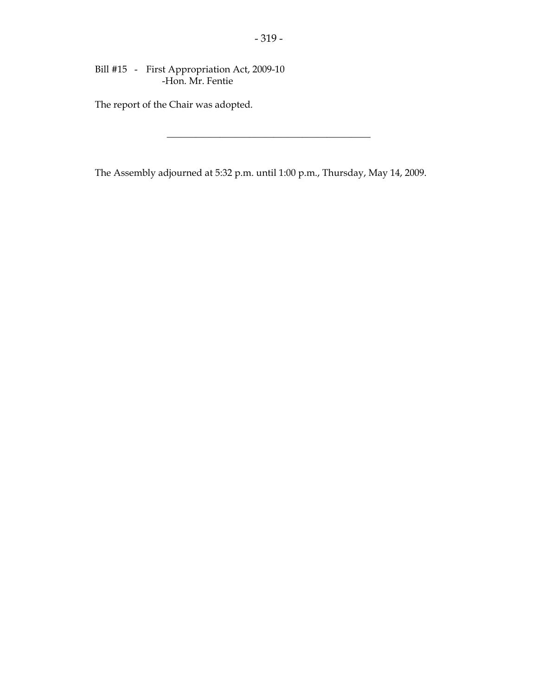Bill #15 - First Appropriation Act, 2009-10 -Hon. Mr. Fentie

The report of the Chair was adopted.

The Assembly adjourned at 5:32 p.m. until 1:00 p.m., Thursday, May 14, 2009.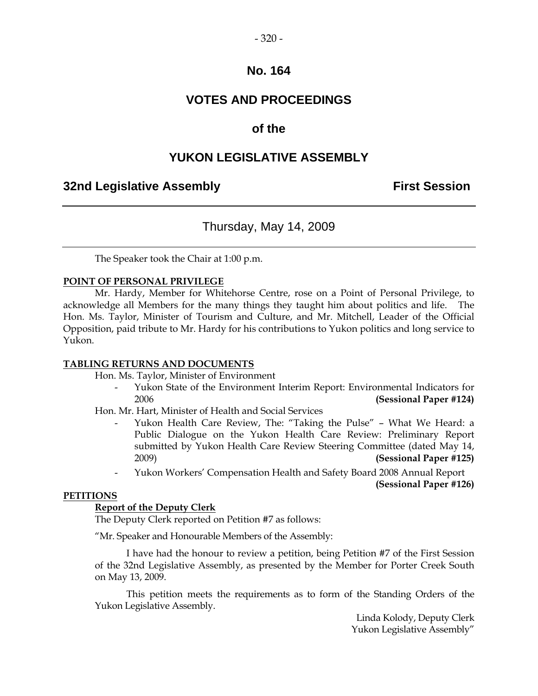## **No. 164**

# **VOTES AND PROCEEDINGS**

## **of the**

## **YUKON LEGISLATIVE ASSEMBLY**

## **32nd Legislative Assembly First Session**

## Thursday, May 14, 2009

The Speaker took the Chair at 1:00 p.m.

#### **POINT OF PERSONAL PRIVILEGE**

 Mr. Hardy, Member for Whitehorse Centre, rose on a Point of Personal Privilege, to acknowledge all Members for the many things they taught him about politics and life. The Hon. Ms. Taylor, Minister of Tourism and Culture, and Mr. Mitchell, Leader of the Official Opposition, paid tribute to Mr. Hardy for his contributions to Yukon politics and long service to Yukon.

#### **TABLING RETURNS AND DOCUMENTS**

Hon. Ms. Taylor, Minister of Environment

Yukon State of the Environment Interim Report: Environmental Indicators for 2006 **(Sessional Paper #124)** 

Hon. Mr. Hart, Minister of Health and Social Services

- Yukon Health Care Review, The: "Taking the Pulse" What We Heard: a Public Dialogue on the Yukon Health Care Review: Preliminary Report submitted by Yukon Health Care Review Steering Committee (dated May 14, 2009) **(Sessional Paper #125)**
- Yukon Workers' Compensation Health and Safety Board 2008 Annual Report

**(Sessional Paper #126)**

#### **PETITIONS**

#### **Report of the Deputy Clerk**

The Deputy Clerk reported on Petition #7 as follows:

"Mr. Speaker and Honourable Members of the Assembly:

 I have had the honour to review a petition, being Petition #7 of the First Session of the 32nd Legislative Assembly, as presented by the Member for Porter Creek South on May 13, 2009.

 This petition meets the requirements as to form of the Standing Orders of the Yukon Legislative Assembly.

> Linda Kolody, Deputy Clerk Yukon Legislative Assembly"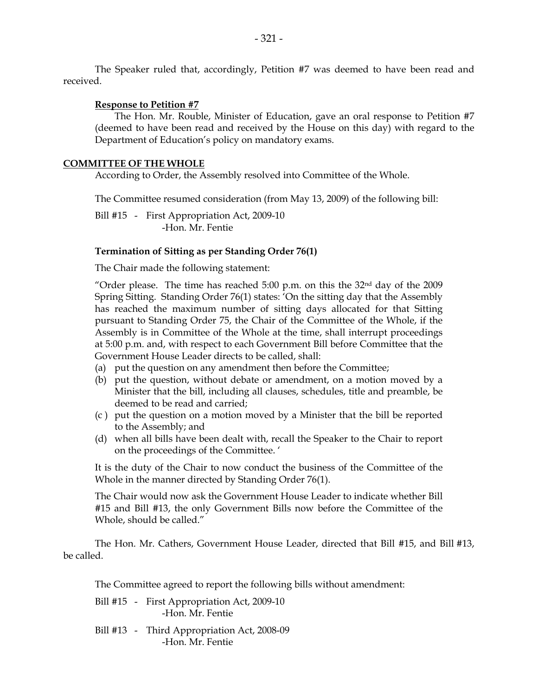#### **Response to Petition #7**

 The Hon. Mr. Rouble, Minister of Education, gave an oral response to Petition #7 (deemed to have been read and received by the House on this day) with regard to the Department of Education's policy on mandatory exams.

#### **COMMITTEE OF THE WHOLE**

According to Order, the Assembly resolved into Committee of the Whole.

The Committee resumed consideration (from May 13, 2009) of the following bill:

Bill #15 - First Appropriation Act, 2009-10 -Hon. Mr. Fentie

#### **Termination of Sitting as per Standing Order 76(1)**

The Chair made the following statement:

"Order please. The time has reached  $5:00$  p.m. on this the  $32<sup>nd</sup>$  day of the  $2009$ Spring Sitting. Standing Order 76(1) states: 'On the sitting day that the Assembly has reached the maximum number of sitting days allocated for that Sitting pursuant to Standing Order 75, the Chair of the Committee of the Whole, if the Assembly is in Committee of the Whole at the time, shall interrupt proceedings at 5:00 p.m. and, with respect to each Government Bill before Committee that the Government House Leader directs to be called, shall:

- (a) put the question on any amendment then before the Committee;
- (b) put the question, without debate or amendment, on a motion moved by a Minister that the bill, including all clauses, schedules, title and preamble, be deemed to be read and carried;
- (c ) put the question on a motion moved by a Minister that the bill be reported to the Assembly; and
- (d) when all bills have been dealt with, recall the Speaker to the Chair to report on the proceedings of the Committee. '

It is the duty of the Chair to now conduct the business of the Committee of the Whole in the manner directed by Standing Order 76(1).

The Chair would now ask the Government House Leader to indicate whether Bill #15 and Bill #13, the only Government Bills now before the Committee of the Whole, should be called."

The Hon. Mr. Cathers, Government House Leader, directed that Bill #15, and Bill #13, be called.

The Committee agreed to report the following bills without amendment:

- Bill #15 First Appropriation Act, 2009-10 -Hon. Mr. Fentie
- Bill #13 Third Appropriation Act, 2008-09 -Hon. Mr. Fentie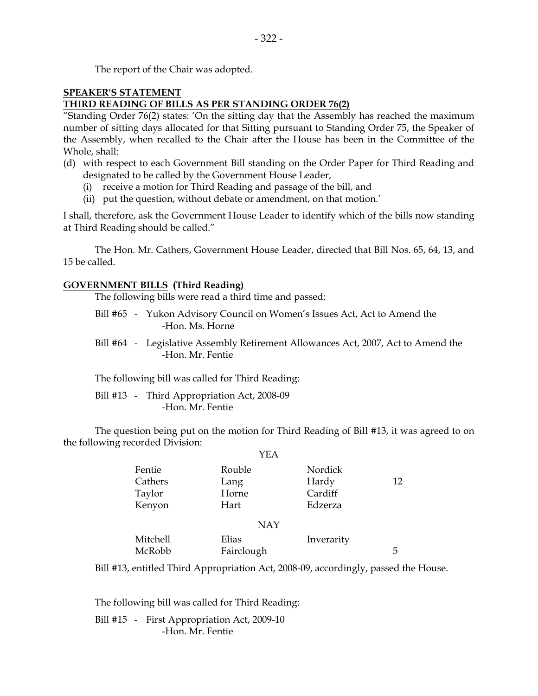The report of the Chair was adopted.

### **SPEAKER'S STATEMENT THIRD READING OF BILLS AS PER STANDING ORDER 76(2)**

"Standing Order 76(2) states: 'On the sitting day that the Assembly has reached the maximum number of sitting days allocated for that Sitting pursuant to Standing Order 75, the Speaker of the Assembly, when recalled to the Chair after the House has been in the Committee of the Whole, shall:

- (d) with respect to each Government Bill standing on the Order Paper for Third Reading and designated to be called by the Government House Leader,
	- (i) receive a motion for Third Reading and passage of the bill, and
	- (ii) put the question, without debate or amendment, on that motion.'

I shall, therefore, ask the Government House Leader to identify which of the bills now standing at Third Reading should be called."

The Hon. Mr. Cathers, Government House Leader, directed that Bill Nos. 65, 64, 13, and 15 be called.

## **GOVERNMENT BILLS (Third Reading)**

The following bills were read a third time and passed:

- Bill #65 Yukon Advisory Council on Women's Issues Act, Act to Amend the -Hon. Ms. Horne
- Bill #64 Legislative Assembly Retirement Allowances Act, 2007, Act to Amend the -Hon. Mr. Fentie

The following bill was called for Third Reading:

 Bill #13 - Third Appropriation Act, 2008-09 -Hon. Mr. Fentie

 The question being put on the motion for Third Reading of Bill #13, it was agreed to on the following recorded Division:  $Y$ EA

| Rouble     | Nordick    |    |
|------------|------------|----|
| Lang       | Hardy      | 12 |
| Horne      | Cardiff    |    |
| Hart       | Edzerza    |    |
| <b>NAY</b> |            |    |
| Elias      | Inverarity |    |
| Fairclough |            | 5  |
|            | YEA        |    |

Bill #13, entitled Third Appropriation Act, 2008-09, accordingly, passed the House.

The following bill was called for Third Reading:

Bill #15 - First Appropriation Act, 2009-10 -Hon. Mr. Fentie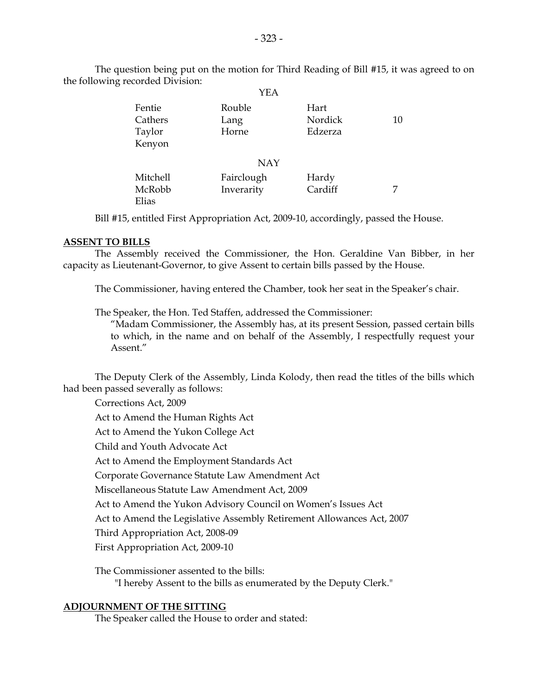The question being put on the motion for Third Reading of Bill #15, it was agreed to on the following recorded Division:  $VFA$ 

|                                       | 1 1 <i>1 1</i> 1         |                            |    |
|---------------------------------------|--------------------------|----------------------------|----|
| Fentie<br>Cathers<br>Taylor<br>Kenyon | Rouble<br>Lang<br>Horne  | Hart<br>Nordick<br>Edzerza | 10 |
|                                       | <b>NAY</b>               |                            |    |
| Mitchell<br>McRobb<br>Elias           | Fairclough<br>Inverarity | Hardy<br>Cardiff           | 7  |

Bill #15, entitled First Appropriation Act, 2009-10, accordingly, passed the House.

#### **ASSENT TO BILLS**

 The Assembly received the Commissioner, the Hon. Geraldine Van Bibber, in her capacity as Lieutenant-Governor, to give Assent to certain bills passed by the House.

The Commissioner, having entered the Chamber, took her seat in the Speaker's chair.

The Speaker, the Hon. Ted Staffen, addressed the Commissioner:

 "Madam Commissioner, the Assembly has, at its present Session, passed certain bills to which, in the name and on behalf of the Assembly, I respectfully request your Assent."

 The Deputy Clerk of the Assembly, Linda Kolody, then read the titles of the bills which had been passed severally as follows:

 Corrections Act, 2009 Act to Amend the Human Rights Act Act to Amend the Yukon College Act Child and Youth Advocate Act Act to Amend the Employment Standards Act Corporate Governance Statute Law Amendment Act Miscellaneous Statute Law Amendment Act, 2009 Act to Amend the Yukon Advisory Council on Women's Issues Act Act to Amend the Legislative Assembly Retirement Allowances Act, 2007 Third Appropriation Act, 2008-09 First Appropriation Act, 2009-10

 The Commissioner assented to the bills: "I hereby Assent to the bills as enumerated by the Deputy Clerk."

#### **ADJOURNMENT OF THE SITTING**

The Speaker called the House to order and stated: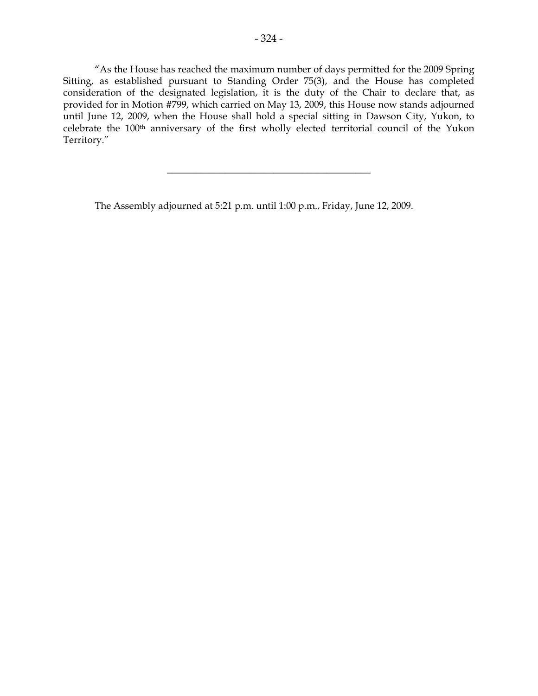"As the House has reached the maximum number of days permitted for the 2009 Spring Sitting, as established pursuant to Standing Order 75(3), and the House has completed consideration of the designated legislation, it is the duty of the Chair to declare that, as provided for in Motion #799, which carried on May 13, 2009, this House now stands adjourned until June 12, 2009, when the House shall hold a special sitting in Dawson City, Yukon, to celebrate the 100th anniversary of the first wholly elected territorial council of the Yukon Territory."

 $\frac{1}{2}$  , and the set of the set of the set of the set of the set of the set of the set of the set of the set of the set of the set of the set of the set of the set of the set of the set of the set of the set of the set

The Assembly adjourned at 5:21 p.m. until 1:00 p.m., Friday, June 12, 2009.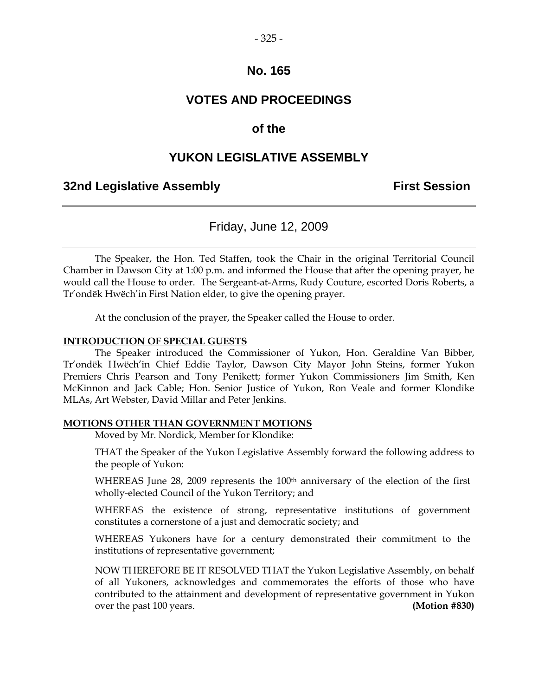#### $-325 -$

## **No. 165**

# **VOTES AND PROCEEDINGS**

## **of the**

## **YUKON LEGISLATIVE ASSEMBLY**

### **32nd Legislative Assembly First Session**

## Friday, June 12, 2009

 The Speaker, the Hon. Ted Staffen, took the Chair in the original Territorial Council Chamber in Dawson City at 1:00 p.m. and informed the House that after the opening prayer, he would call the House to order. The Sergeant-at-Arms, Rudy Couture, escorted Doris Roberts, a Tr'ondëk Hwëch'in First Nation elder, to give the opening prayer.

At the conclusion of the prayer, the Speaker called the House to order.

#### **INTRODUCTION OF SPECIAL GUESTS**

 The Speaker introduced the Commissioner of Yukon, Hon. Geraldine Van Bibber, Tr'ondëk Hwëch'in Chief Eddie Taylor, Dawson City Mayor John Steins, former Yukon Premiers Chris Pearson and Tony Penikett; former Yukon Commissioners Jim Smith, Ken McKinnon and Jack Cable; Hon. Senior Justice of Yukon, Ron Veale and former Klondike MLAs, Art Webster, David Millar and Peter Jenkins.

#### **MOTIONS OTHER THAN GOVERNMENT MOTIONS**

Moved by Mr. Nordick, Member for Klondike:

THAT the Speaker of the Yukon Legislative Assembly forward the following address to the people of Yukon:

WHEREAS June 28, 2009 represents the 100<sup>th</sup> anniversary of the election of the first wholly-elected Council of the Yukon Territory; and

WHEREAS the existence of strong, representative institutions of government constitutes a cornerstone of a just and democratic society; and

WHEREAS Yukoners have for a century demonstrated their commitment to the institutions of representative government;

 NOW THEREFORE BE IT RESOLVED THAT the Yukon Legislative Assembly, on behalf of all Yukoners, acknowledges and commemorates the efforts of those who have contributed to the attainment and development of representative government in Yukon over the past 100 years. **(Motion #830)**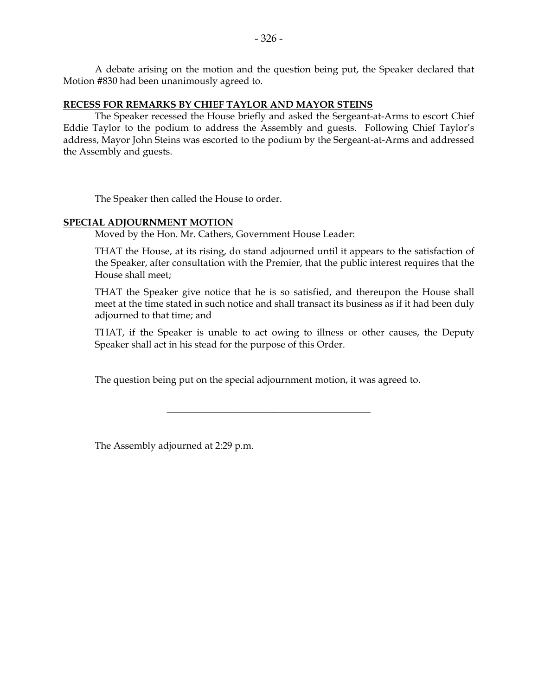A debate arising on the motion and the question being put, the Speaker declared that Motion #830 had been unanimously agreed to.

#### **RECESS FOR REMARKS BY CHIEF TAYLOR AND MAYOR STEINS**

 The Speaker recessed the House briefly and asked the Sergeant-at-Arms to escort Chief Eddie Taylor to the podium to address the Assembly and guests. Following Chief Taylor's address, Mayor John Steins was escorted to the podium by the Sergeant-at-Arms and addressed the Assembly and guests.

The Speaker then called the House to order.

#### **SPECIAL ADJOURNMENT MOTION**

Moved by the Hon. Mr. Cathers, Government House Leader:

 THAT the House, at its rising, do stand adjourned until it appears to the satisfaction of the Speaker, after consultation with the Premier, that the public interest requires that the House shall meet;

 THAT the Speaker give notice that he is so satisfied, and thereupon the House shall meet at the time stated in such notice and shall transact its business as if it had been duly adjourned to that time; and

 THAT, if the Speaker is unable to act owing to illness or other causes, the Deputy Speaker shall act in his stead for the purpose of this Order.

The question being put on the special adjournment motion, it was agreed to.

\_\_\_\_\_\_\_\_\_\_\_\_\_\_\_\_\_\_\_\_\_\_\_\_\_\_\_\_\_\_\_\_\_\_\_\_\_\_\_\_\_\_

The Assembly adjourned at 2:29 p.m.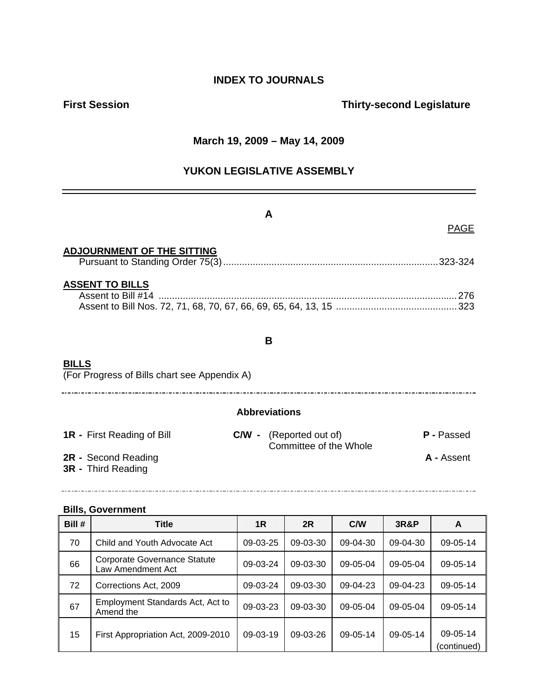# **INDEX TO JOURNALS**

# **First Session Contract Session Contract Session Contract Contract Contract Contract Contract Contract Contract Contract Contract Contract Contract Contract Contract Contract Contract Contract Contract Contract Contract Co**

## **March 19, 2009 – May 14, 2009**

# **YUKON LEGISLATIVE ASSEMBLY**

|                                                              | A                                            |  |
|--------------------------------------------------------------|----------------------------------------------|--|
|                                                              | <b>PAGE</b>                                  |  |
| <b>ADJOURNMENT OF THE SITTING</b>                            |                                              |  |
| <b>ASSENT TO BILLS</b>                                       |                                              |  |
|                                                              | B.                                           |  |
| <b>BILLS</b><br>(For Progress of Bills chart see Appendix A) |                                              |  |
| <b>Abbreviations</b>                                         |                                              |  |
| <b>1R</b> - First Reading of Bill                            | P - Passed<br><b>C/W</b> - (Reported out of) |  |
| 2R - Second Reading<br><b>3R</b> - Third Reading             | Committee of the Whole<br>A - Assent         |  |

#### **Bills, Government**

| Bill # | Title                                                    | 1R         | 2R         | C/W      | 3R&P     | A                       |
|--------|----------------------------------------------------------|------------|------------|----------|----------|-------------------------|
| 70     | Child and Youth Advocate Act                             | $09-03-25$ | 09-03-30   | 09-04-30 | 09-04-30 | 09-05-14                |
| 66     | <b>Corporate Governance Statute</b><br>Law Amendment Act | 09-03-24   | 09-03-30   | 09-05-04 | 09-05-04 | 09-05-14                |
| 72     | Corrections Act, 2009                                    | 09-03-24   | 09-03-30   | 09-04-23 | 09-04-23 | 09-05-14                |
| 67     | Employment Standards Act, Act to<br>Amend the            | 09-03-23   | 09-03-30   | 09-05-04 | 09-05-04 | 09-05-14                |
| 15     | First Appropriation Act, 2009-2010                       | 09-03-19   | $09-03-26$ | 09-05-14 | 09-05-14 | 09-05-14<br>(continued) |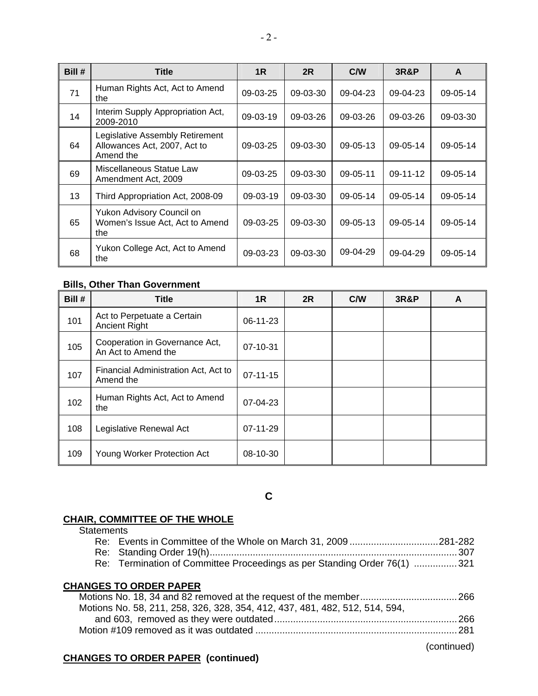| Bill # | <b>Title</b>                                                                 | 1 <sub>R</sub> | 2R       | C/W            | <b>3R&amp;P</b> | A              |
|--------|------------------------------------------------------------------------------|----------------|----------|----------------|-----------------|----------------|
| 71     | Human Rights Act, Act to Amend<br>the                                        | 09-03-25       | 09-03-30 | 09-04-23       | 09-04-23        | 09-05-14       |
| 14     | Interim Supply Appropriation Act,<br>2009-2010                               | $09-03-19$     | 09-03-26 | 09-03-26       | 09-03-26        | 09-03-30       |
| 64     | Legislative Assembly Retirement<br>Allowances Act, 2007, Act to<br>Amend the | $09-03-25$     | 09-03-30 | $09 - 05 - 13$ | $09-05-14$      | $09 - 05 - 14$ |
| 69     | Miscellaneous Statue Law<br>Amendment Act, 2009                              | $09-03-25$     | 09-03-30 | $09 - 05 - 11$ | 09-11-12        | 09-05-14       |
| 13     | Third Appropriation Act, 2008-09                                             | $09-03-19$     | 09-03-30 | 09-05-14       | 09-05-14        | 09-05-14       |
| 65     | Yukon Advisory Council on<br>Women's Issue Act, Act to Amend<br>the          | 09-03-25       | 09-03-30 | $09 - 05 - 13$ | 09-05-14        | 09-05-14       |
| 68     | Yukon College Act, Act to Amend<br>the                                       | 09-03-23       | 09-03-30 | 09-04-29       | 09-04-29        | 09-05-14       |

#### **Bills, Other Than Government**

| Bill # | <b>Title</b>                                          | 1R             | <b>2R</b> | C/W | <b>3R&amp;P</b> | A |
|--------|-------------------------------------------------------|----------------|-----------|-----|-----------------|---|
| 101    | Act to Perpetuate a Certain<br><b>Ancient Right</b>   | 06-11-23       |           |     |                 |   |
| 105    | Cooperation in Governance Act,<br>An Act to Amend the | 07-10-31       |           |     |                 |   |
| 107    | Financial Administration Act, Act to<br>Amend the     | $07 - 11 - 15$ |           |     |                 |   |
| 102    | Human Rights Act, Act to Amend<br>the                 | 07-04-23       |           |     |                 |   |
| 108    | Legislative Renewal Act                               | 07-11-29       |           |     |                 |   |
| 109    | Young Worker Protection Act                           | 08-10-30       |           |     |                 |   |

**C** 

## **CHAIR, COMMITTEE OF THE WHOLE**

**Statements** 

| Re: Events in Committee of the Whole on March 31, 2009281-282            |  |
|--------------------------------------------------------------------------|--|
|                                                                          |  |
| Re: Termination of Committee Proceedings as per Standing Order 76(1) 321 |  |

## **CHANGES TO ORDER PAPER**

| Motions No. 58, 211, 258, 326, 328, 354, 412, 437, 481, 482, 512, 514, 594, |  |
|-----------------------------------------------------------------------------|--|
|                                                                             |  |
|                                                                             |  |
|                                                                             |  |

## (continued)

## **CHANGES TO ORDER PAPER (continued)**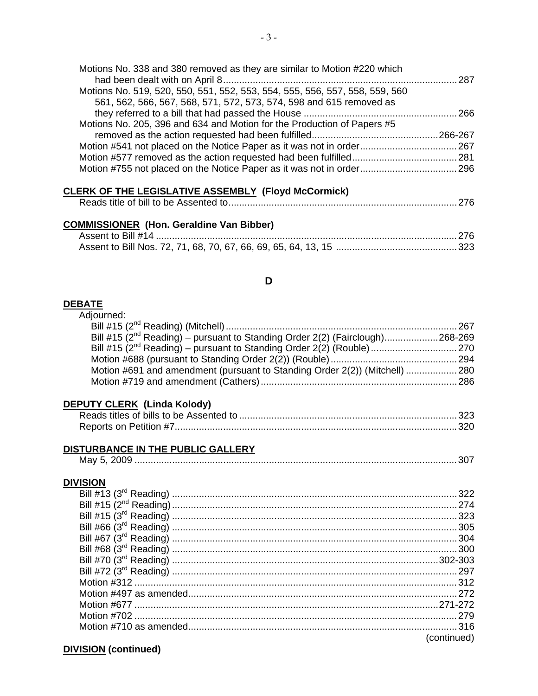| Motions No. 338 and 380 removed as they are similar to Motion #220 which    | - 287 |
|-----------------------------------------------------------------------------|-------|
| Motions No. 519, 520, 550, 551, 552, 553, 554, 555, 556, 557, 558, 559, 560 |       |
| 561, 562, 566, 567, 568, 571, 572, 573, 574, 598 and 615 removed as         |       |
|                                                                             |       |
| Motions No. 205, 396 and 634 and Motion for the Production of Papers #5     |       |
|                                                                             |       |
|                                                                             |       |
|                                                                             |       |
|                                                                             |       |
|                                                                             |       |

#### **CLERK OF THE LEGISLATIVE ASSEMBLY (Floyd McCormick)**

## **COMMISSIONER (Hon. Geraldine Van Bibber)**

## **D**

#### **DEBATE**

| Adjourned:                                                                               |  |
|------------------------------------------------------------------------------------------|--|
|                                                                                          |  |
| Bill #15 (2 <sup>nd</sup> Reading) – pursuant to Standing Order 2(2) (Fairclough)268-269 |  |
|                                                                                          |  |
|                                                                                          |  |
| Motion #691 and amendment (pursuant to Standing Order 2(2)) (Mitchell)  280              |  |
|                                                                                          |  |
|                                                                                          |  |

## **DEPUTY CLERK (Linda Kolody)**

# **DISTURBANCE IN THE PUBLIC GALLERY**

| Mav |  |
|-----|--|
|-----|--|

#### **DIVISION**

| (continued) |
|-------------|

## **DIVISION (continued)**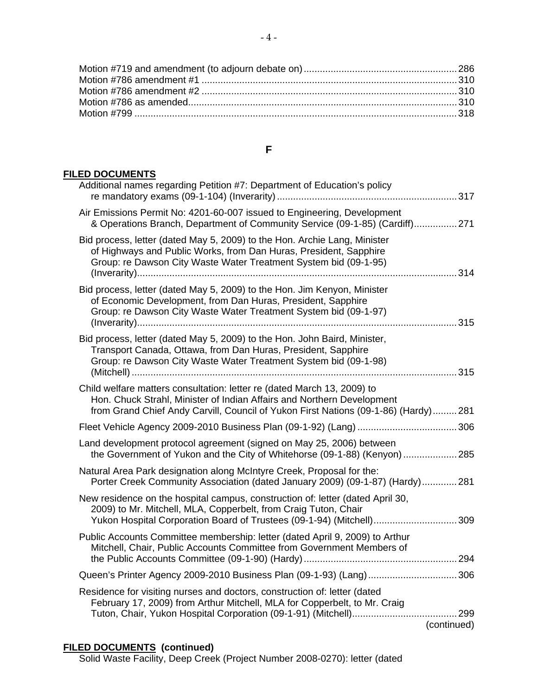### **F**

## **FILED DOCUMENTS**

| Additional names regarding Petition #7: Department of Education's policy                                                                                                                                                                |
|-----------------------------------------------------------------------------------------------------------------------------------------------------------------------------------------------------------------------------------------|
| Air Emissions Permit No: 4201-60-007 issued to Engineering, Development<br>& Operations Branch, Department of Community Service (09-1-85) (Cardiff) 271                                                                                 |
| Bid process, letter (dated May 5, 2009) to the Hon. Archie Lang, Minister<br>of Highways and Public Works, from Dan Huras, President, Sapphire<br>Group: re Dawson City Waste Water Treatment System bid (09-1-95)                      |
| Bid process, letter (dated May 5, 2009) to the Hon. Jim Kenyon, Minister<br>of Economic Development, from Dan Huras, President, Sapphire<br>Group: re Dawson City Waste Water Treatment System bid (09-1-97)                            |
| Bid process, letter (dated May 5, 2009) to the Hon. John Baird, Minister,<br>Transport Canada, Ottawa, from Dan Huras, President, Sapphire<br>Group: re Dawson City Waste Water Treatment System bid (09-1-98)                          |
| Child welfare matters consultation: letter re (dated March 13, 2009) to<br>Hon. Chuck Strahl, Minister of Indian Affairs and Northern Development<br>from Grand Chief Andy Carvill, Council of Yukon First Nations (09-1-86) (Hardy)281 |
|                                                                                                                                                                                                                                         |
| Land development protocol agreement (signed on May 25, 2006) between<br>the Government of Yukon and the City of Whitehorse (09-1-88) (Kenyon) 285                                                                                       |
| Natural Area Park designation along McIntyre Creek, Proposal for the:<br>Porter Creek Community Association (dated January 2009) (09-1-87) (Hardy)281                                                                                   |
| New residence on the hospital campus, construction of: letter (dated April 30,<br>2009) to Mr. Mitchell, MLA, Copperbelt, from Craig Tuton, Chair<br>Yukon Hospital Corporation Board of Trustees (09-1-94) (Mitchell)309               |
| Public Accounts Committee membership: letter (dated April 9, 2009) to Arthur<br>Mitchell, Chair, Public Accounts Committee from Government Members of                                                                                   |
| Queen's Printer Agency 2009-2010 Business Plan (09-1-93) (Lang) 306                                                                                                                                                                     |
| Residence for visiting nurses and doctors, construction of: letter (dated<br>February 17, 2009) from Arthur Mitchell, MLA for Copperbelt, to Mr. Craig                                                                                  |
| (continued)                                                                                                                                                                                                                             |
|                                                                                                                                                                                                                                         |

#### **FILED DOCUMENTS (continued)**

Solid Waste Facility, Deep Creek (Project Number 2008-0270): letter (dated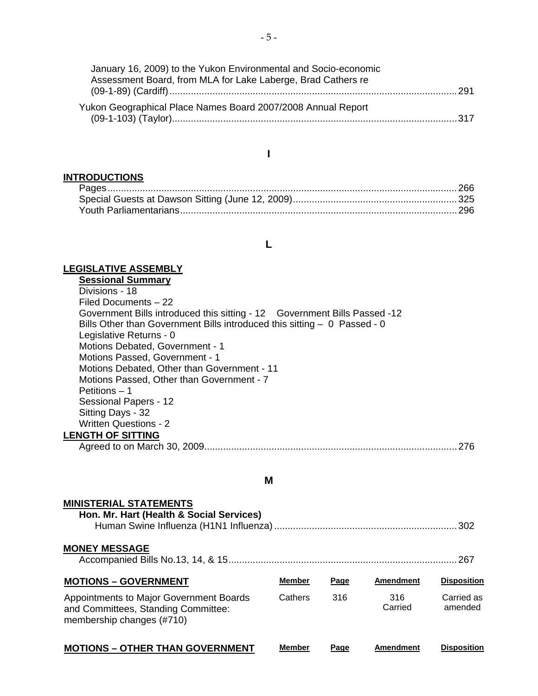| January 16, 2009) to the Yukon Environmental and Socio-economic |
|-----------------------------------------------------------------|
| Assessment Board, from MLA for Lake Laberge, Brad Cathers re    |
|                                                                 |
| Yukon Geographical Place Names Board 2007/2008 Annual Report    |
|                                                                 |

## **I**

# **INTRODUCTIONS**

## **L**

## **LEGISLATIVE ASSEMBLY**

| <b>Sessional Summary</b>                                                  |     |
|---------------------------------------------------------------------------|-----|
| Divisions - 18                                                            |     |
| Filed Documents - 22                                                      |     |
| Government Bills introduced this sitting - 12 Government Bills Passed -12 |     |
| Bills Other than Government Bills introduced this sitting - 0 Passed - 0  |     |
| Legislative Returns - 0                                                   |     |
| Motions Debated, Government - 1                                           |     |
| Motions Passed, Government - 1                                            |     |
| Motions Debated, Other than Government - 11                               |     |
| Motions Passed, Other than Government - 7                                 |     |
| Petitions - 1                                                             |     |
| Sessional Papers - 12                                                     |     |
| Sitting Days - 32                                                         |     |
| <b>Written Questions - 2</b>                                              |     |
| <b>LENGTH OF SITTING</b>                                                  |     |
| Agreed to on March 30, 2009.                                              | 276 |
|                                                                           |     |

## **M**

| <b>MINISTERIAL STATEMENTS</b><br>Hon. Mr. Hart (Health & Social Services)                                   |               |      |                  | . 302                 |
|-------------------------------------------------------------------------------------------------------------|---------------|------|------------------|-----------------------|
| <b>MONEY MESSAGE</b>                                                                                        |               |      |                  | . 267                 |
| <b>MOTIONS - GOVERNMENT</b>                                                                                 | <b>Member</b> | Page | <b>Amendment</b> | <b>Disposition</b>    |
| Appointments to Major Government Boards<br>and Committees, Standing Committee:<br>membership changes (#710) | Cathers       | 316  | 316<br>Carried   | Carried as<br>amended |
| <b>MOTIONS – OTHER THAN GOVERNMENT</b>                                                                      | Member        | Page | Amendment        | <b>Disposition</b>    |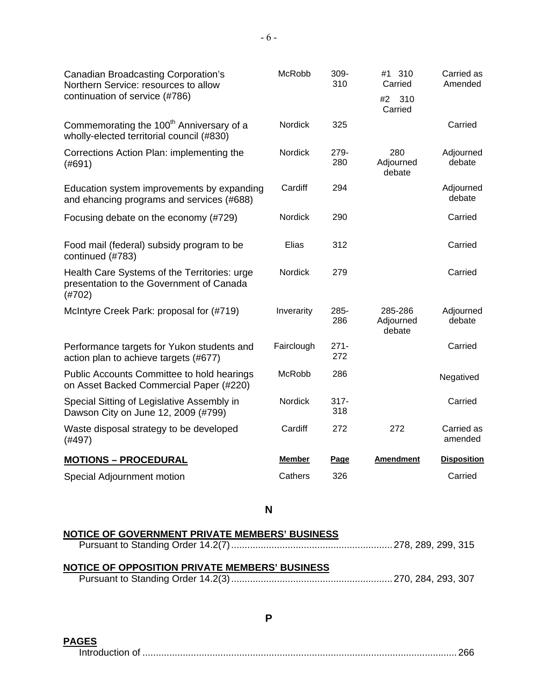| <b>Canadian Broadcasting Corporation's</b><br>Northern Service: resources to allow<br>continuation of service (#786) | McRobb        | 309-<br>310    | #1 310<br>Carried<br>310<br>#2<br>Carried | Carried as<br>Amended |
|----------------------------------------------------------------------------------------------------------------------|---------------|----------------|-------------------------------------------|-----------------------|
| Commemorating the 100 <sup>th</sup> Anniversary of a<br>wholly-elected territorial council (#830)                    | Nordick       | 325            |                                           | Carried               |
| Corrections Action Plan: implementing the<br>(#691)                                                                  | Nordick       | 279-<br>280    | 280<br>Adjourned<br>debate                | Adjourned<br>debate   |
| Education system improvements by expanding<br>and ehancing programs and services (#688)                              | Cardiff       | 294            |                                           | Adjourned<br>debate   |
| Focusing debate on the economy (#729)                                                                                | Nordick       | 290            |                                           | Carried               |
| Food mail (federal) subsidy program to be<br>continued (#783)                                                        | Elias         | 312            |                                           | Carried               |
| Health Care Systems of the Territories: urge<br>presentation to the Government of Canada<br>(H702)                   | Nordick       | 279            |                                           | Carried               |
| McIntyre Creek Park: proposal for (#719)                                                                             | Inverarity    | 285-<br>286    | 285-286<br>Adjourned<br>debate            | Adjourned<br>debate   |
| Performance targets for Yukon students and<br>action plan to achieve targets (#677)                                  | Fairclough    | $271 -$<br>272 |                                           | Carried               |
| Public Accounts Committee to hold hearings<br>on Asset Backed Commercial Paper (#220)                                | McRobb        | 286            |                                           | Negatived             |
| Special Sitting of Legislative Assembly in<br>Dawson City on June 12, 2009 (#799)                                    | Nordick       | $317 -$<br>318 |                                           | Carried               |
| Waste disposal strategy to be developed<br>(#497)                                                                    | Cardiff       | 272            | 272                                       | Carried as<br>amended |
| <b>MOTIONS - PROCEDURAL</b>                                                                                          | <b>Member</b> | <b>Page</b>    | Amendment                                 | <b>Disposition</b>    |
| Special Adjournment motion                                                                                           | Cathers       | 326            |                                           | Carried               |

**N** 

## **NOTICE OF GOVERNMENT PRIVATE MEMBERS' BUSINESS** Pursuant to Standing Order 14.2(7)............................................................278, 289, 299, 315 **NOTICE OF OPPOSITION PRIVATE MEMBERS' BUSINESS** Pursuant to Standing Order 14.2(3)............................................................270, 284, 293, 307

**P** 

**PAGES**

Introduction of .....................................................................................................................266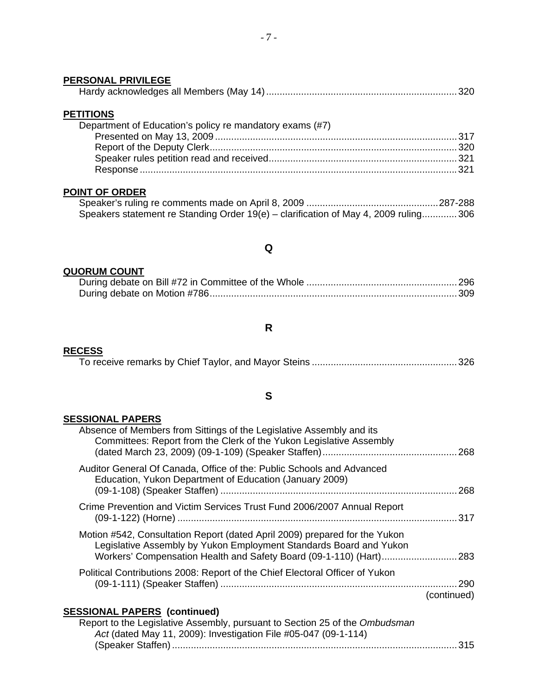# **PERSONAL PRIVILEGE** Hardy acknowledges all Members (May 14).......................................................................320 **PETITIONS** Department of Education's policy re mandatory exams (#7) Presented on May 13, 2009 ..........................................................................................317 Report of the Deputy Clerk............................................................................................320 Speaker rules petition read and received......................................................................321 Response ......................................................................................................................321

## **POINT OF ORDER**

| Speakers statement re Standing Order 19(e) – clarification of May 4, 2009 ruling306 |  |
|-------------------------------------------------------------------------------------|--|

#### **Q**

#### **QUORUM COUNT**

#### **R**

#### **RECESS**

|--|--|

#### **S**

#### **SESSIONAL PAPERS**

| Absence of Members from Sittings of the Legislative Assembly and its<br>Committees: Report from the Clerk of the Yukon Legislative Assembly      | . 268              |
|--------------------------------------------------------------------------------------------------------------------------------------------------|--------------------|
| Auditor General Of Canada, Office of the: Public Schools and Advanced<br>Education, Yukon Department of Education (January 2009)                 | 268                |
| Crime Prevention and Victim Services Trust Fund 2006/2007 Annual Report                                                                          | . 317              |
| Motion #542, Consultation Report (dated April 2009) prepared for the Yukon<br>Legislative Assembly by Yukon Employment Standards Board and Yukon |                    |
| Political Contributions 2008: Report of the Chief Electoral Officer of Yukon                                                                     | 290<br>(continued) |
| <b>SESSIONAL PAPERS (continued)</b>                                                                                                              |                    |
| Report to the Legislative Assembly, pursuant to Section 25 of the Ombudsman                                                                      |                    |
| Act (dated May 11, 2009): Investigation File #05-047 (09-1-114)                                                                                  |                    |

(Speaker Staffen) ..........................................................................................................315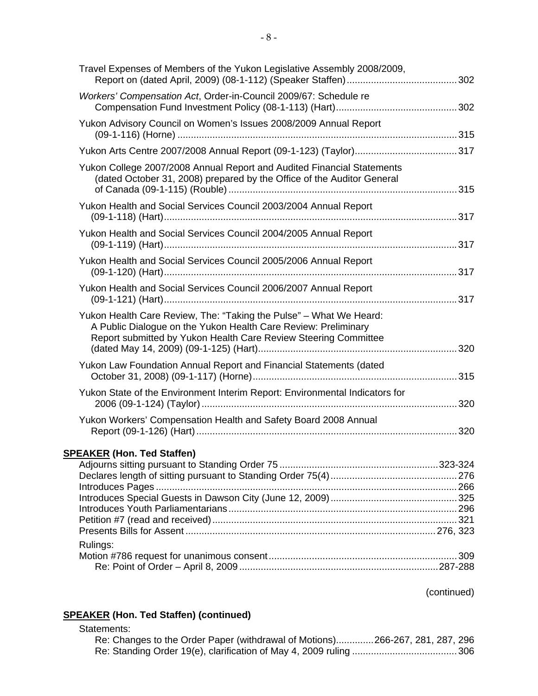| Travel Expenses of Members of the Yukon Legislative Assembly 2008/2009,                                                                                                                                 |  |
|---------------------------------------------------------------------------------------------------------------------------------------------------------------------------------------------------------|--|
| Workers' Compensation Act, Order-in-Council 2009/67: Schedule re                                                                                                                                        |  |
| Yukon Advisory Council on Women's Issues 2008/2009 Annual Report                                                                                                                                        |  |
|                                                                                                                                                                                                         |  |
| Yukon College 2007/2008 Annual Report and Audited Financial Statements<br>(dated October 31, 2008) prepared by the Office of the Auditor General                                                        |  |
| Yukon Health and Social Services Council 2003/2004 Annual Report                                                                                                                                        |  |
| Yukon Health and Social Services Council 2004/2005 Annual Report                                                                                                                                        |  |
| Yukon Health and Social Services Council 2005/2006 Annual Report                                                                                                                                        |  |
| Yukon Health and Social Services Council 2006/2007 Annual Report                                                                                                                                        |  |
| Yukon Health Care Review, The: "Taking the Pulse" - What We Heard:<br>A Public Dialogue on the Yukon Health Care Review: Preliminary<br>Report submitted by Yukon Health Care Review Steering Committee |  |
| Yukon Law Foundation Annual Report and Financial Statements (dated                                                                                                                                      |  |
| Yukon State of the Environment Interim Report: Environmental Indicators for                                                                                                                             |  |
| Yukon Workers' Compensation Health and Safety Board 2008 Annual                                                                                                                                         |  |
| <b>SPEAKER (Hon. Ted Staffen)</b>                                                                                                                                                                       |  |
|                                                                                                                                                                                                         |  |
|                                                                                                                                                                                                         |  |
|                                                                                                                                                                                                         |  |
|                                                                                                                                                                                                         |  |
|                                                                                                                                                                                                         |  |
| Rulings:                                                                                                                                                                                                |  |
|                                                                                                                                                                                                         |  |
|                                                                                                                                                                                                         |  |

(continued)

## **SPEAKER (Hon. Ted Staffen) (continued)**

## Statements:

|  | Re: Changes to the Order Paper (withdrawal of Motions)266-267, 281, 287, 296 |
|--|------------------------------------------------------------------------------|
|  |                                                                              |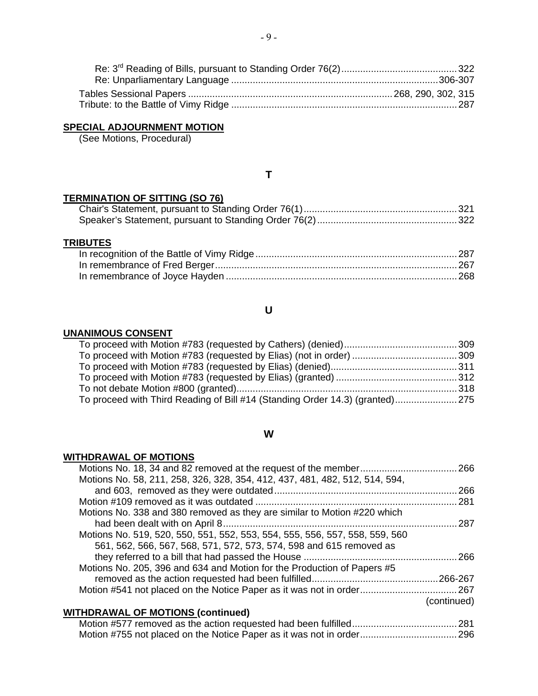## **SPECIAL ADJOURNMENT MOTION**

(See Motions, Procedural)

## **T**

#### **TERMINATION OF SITTING (SO 76)**

## **TRIBUTES**

## **U**

#### **UNANIMOUS CONSENT**

| To proceed with Third Reading of Bill #14 (Standing Order 14.3) (granted)275 |  |
|------------------------------------------------------------------------------|--|
|                                                                              |  |

#### **W**

#### **WITHDRAWAL OF MOTIONS**

|             | Motions No. 58, 211, 258, 326, 328, 354, 412, 437, 481, 482, 512, 514, 594, |
|-------------|-----------------------------------------------------------------------------|
| 266         |                                                                             |
| .281        |                                                                             |
|             | Motions No. 338 and 380 removed as they are similar to Motion #220 which    |
| 287         |                                                                             |
|             | Motions No. 519, 520, 550, 551, 552, 553, 554, 555, 556, 557, 558, 559, 560 |
|             | 561, 562, 566, 567, 568, 571, 572, 573, 574, 598 and 615 removed as         |
| 266         |                                                                             |
|             | Motions No. 205, 396 and 634 and Motion for the Production of Papers #5     |
|             |                                                                             |
|             |                                                                             |
| (continued) |                                                                             |
|             | <b>WITHDRAWAL OF MOTIONS (continued)</b>                                    |
|             |                                                                             |
|             |                                                                             |

# Motion #755 not placed on the Notice Paper as it was not in order....................................296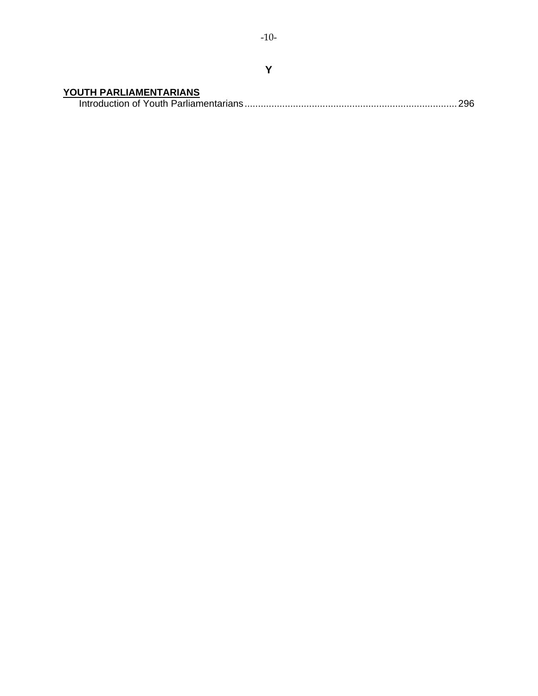**YOUTH PARLIAMENTARIANS** Introduction of Youth Parliamentarians...............................................................................296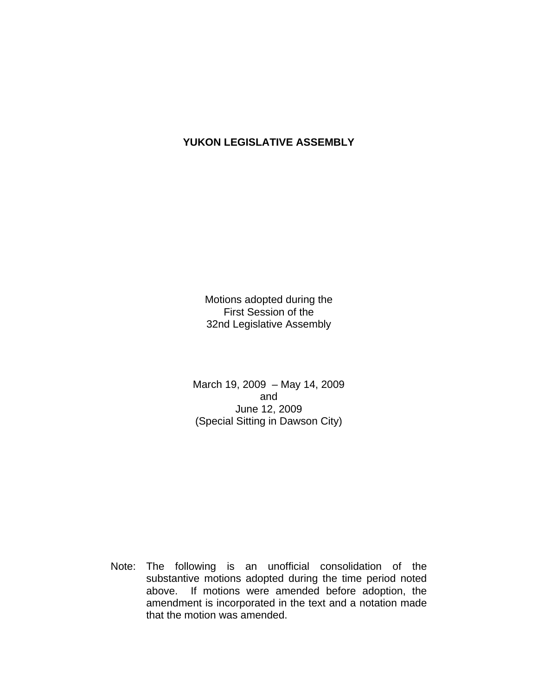# **YUKON LEGISLATIVE ASSEMBLY**

Motions adopted during the First Session of the 32nd Legislative Assembly

March 19, 2009 – May 14, 2009 and June 12, 2009 (Special Sitting in Dawson City)

 Note: The following is an unofficial consolidation of the substantive motions adopted during the time period noted above. If motions were amended before adoption, the amendment is incorporated in the text and a notation made that the motion was amended.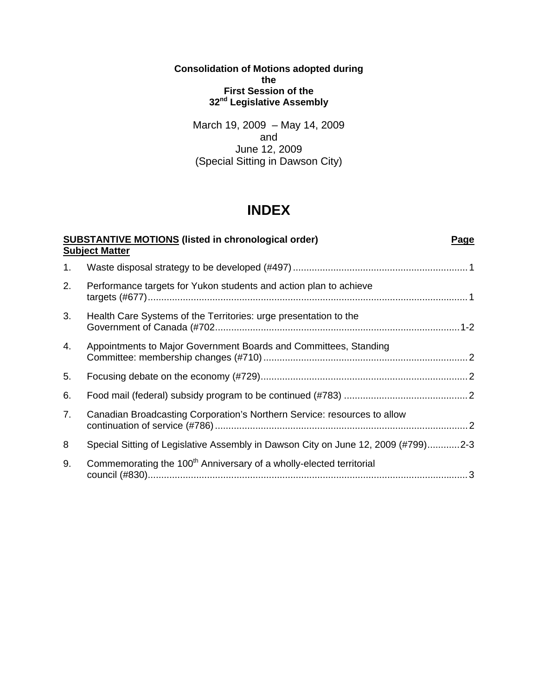**Consolidation of Motions adopted during the First Session of the 32nd Legislative Assembly** 

March 19, 2009 – May 14, 2009 and June 12, 2009 (Special Sitting in Dawson City)

# **INDEX**

| <b>SUBSTANTIVE MOTIONS (listed in chronological order)</b><br><b>Page</b><br><b>Subject Matter</b> |                                                                                   |
|----------------------------------------------------------------------------------------------------|-----------------------------------------------------------------------------------|
| 1.                                                                                                 |                                                                                   |
| 2.                                                                                                 | Performance targets for Yukon students and action plan to achieve                 |
| 3.                                                                                                 | Health Care Systems of the Territories: urge presentation to the                  |
| 4.                                                                                                 | Appointments to Major Government Boards and Committees, Standing                  |
| 5.                                                                                                 |                                                                                   |
| 6.                                                                                                 |                                                                                   |
| 7.                                                                                                 | Canadian Broadcasting Corporation's Northern Service: resources to allow          |
| 8                                                                                                  | Special Sitting of Legislative Assembly in Dawson City on June 12, 2009 (#799)2-3 |
| 9.                                                                                                 | Commemorating the 100 <sup>th</sup> Anniversary of a wholly-elected territorial   |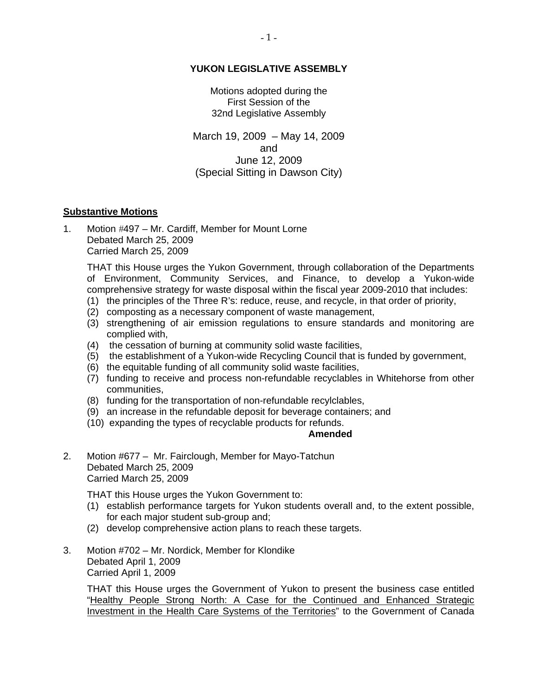## **YUKON LEGISLATIVE ASSEMBLY**

Motions adopted during the First Session of the 32nd Legislative Assembly

March 19, 2009 – May 14, 2009 and June 12, 2009 (Special Sitting in Dawson City)

### **Substantive Motions**

1. Motion #497 – Mr. Cardiff, Member for Mount Lorne Debated March 25, 2009 Carried March 25, 2009

 THAT this House urges the Yukon Government, through collaboration of the Departments of Environment, Community Services, and Finance, to develop a Yukon-wide comprehensive strategy for waste disposal within the fiscal year 2009-2010 that includes:

- (1) the principles of the Three R's: reduce, reuse, and recycle, in that order of priority,
- (2) composting as a necessary component of waste management,
- (3) strengthening of air emission regulations to ensure standards and monitoring are complied with,
- (4) the cessation of burning at community solid waste facilities,
- (5) the establishment of a Yukon-wide Recycling Council that is funded by government,
- (6) the equitable funding of all community solid waste facilities,
- (7) funding to receive and process non-refundable recyclables in Whitehorse from other communities,
- (8) funding for the transportation of non-refundable recylclables,
- (9) an increase in the refundable deposit for beverage containers; and
- (10) expanding the types of recyclable products for refunds.

### **Amended**

2. Motion #677 – Mr. Fairclough, Member for Mayo-Tatchun Debated March 25, 2009 Carried March 25, 2009

THAT this House urges the Yukon Government to:

- (1) establish performance targets for Yukon students overall and, to the extent possible, for each major student sub-group and;
- (2) develop comprehensive action plans to reach these targets.
- 3. Motion #702 Mr. Nordick, Member for Klondike Debated April 1, 2009 Carried April 1, 2009

 THAT this House urges the Government of Yukon to present the business case entitled "Healthy People Strong North: A Case for the Continued and Enhanced Strategic Investment in the Health Care Systems of the Territories" to the Government of Canada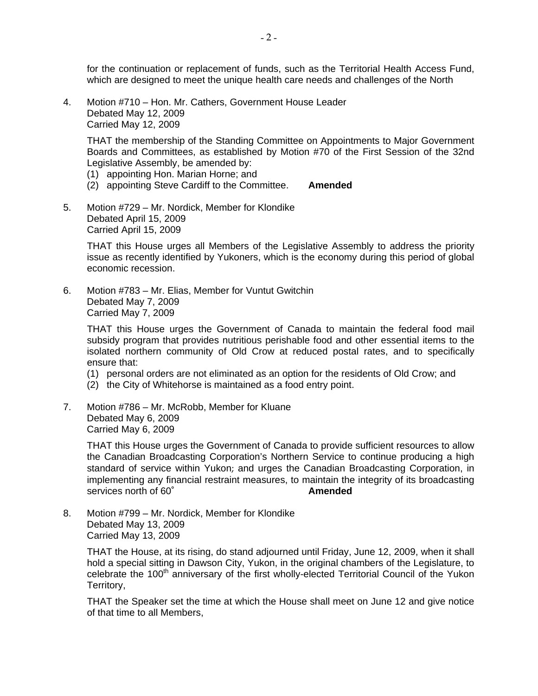for the continuation or replacement of funds, such as the Territorial Health Access Fund, which are designed to meet the unique health care needs and challenges of the North

4. Motion #710 – Hon. Mr. Cathers, Government House Leader Debated May 12, 2009 Carried May 12, 2009

 THAT the membership of the Standing Committee on Appointments to Major Government Boards and Committees, as established by Motion #70 of the First Session of the 32nd Legislative Assembly, be amended by:

- (1) appointing Hon. Marian Horne; and
- (2) appointing Steve Cardiff to the Committee. **Amended**
- 5. Motion #729 Mr. Nordick, Member for Klondike Debated April 15, 2009 Carried April 15, 2009

 THAT this House urges all Members of the Legislative Assembly to address the priority issue as recently identified by Yukoners, which is the economy during this period of global economic recession.

6. Motion #783 – Mr. Elias, Member for Vuntut Gwitchin Debated May 7, 2009 Carried May 7, 2009

 THAT this House urges the Government of Canada to maintain the federal food mail subsidy program that provides nutritious perishable food and other essential items to the isolated northern community of Old Crow at reduced postal rates, and to specifically ensure that:

- (1) personal orders are not eliminated as an option for the residents of Old Crow; and
- (2) the City of Whitehorse is maintained as a food entry point.
- 7. Motion #786 Mr. McRobb, Member for Kluane Debated May 6, 2009 Carried May 6, 2009

 THAT this House urges the Government of Canada to provide sufficient resources to allow the Canadian Broadcasting Corporation's Northern Service to continue producing a high standard of service within Yukon; and urges the Canadian Broadcasting Corporation, in implementing any financial restraint measures, to maintain the integrity of its broadcasting services north of 60˚ **Amended** 

8. Motion #799 – Mr. Nordick, Member for Klondike Debated May 13, 2009 Carried May 13, 2009

> THAT the House, at its rising, do stand adjourned until Friday, June 12, 2009, when it shall hold a special sitting in Dawson City, Yukon, in the original chambers of the Legislature, to celebrate the  $100<sup>th</sup>$  anniversary of the first wholly-elected Territorial Council of the Yukon Territory,

> THAT the Speaker set the time at which the House shall meet on June 12 and give notice of that time to all Members,